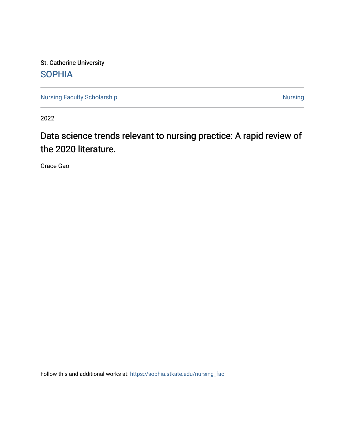St. Catherine University **SOPHIA** 

[Nursing Faculty Scholarship](https://sophia.stkate.edu/nursing_fac) [Nursing](https://sophia.stkate.edu/nursing) Nursing Nursing

2022

# Data science trends relevant to nursing practice: A rapid review of the 2020 literature.

Grace Gao

Follow this and additional works at: [https://sophia.stkate.edu/nursing\\_fac](https://sophia.stkate.edu/nursing_fac?utm_source=sophia.stkate.edu%2Fnursing_fac%2F120&utm_medium=PDF&utm_campaign=PDFCoverPages)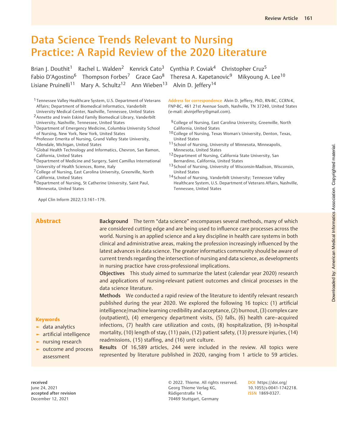# Data Science Trends Relevant to Nursing Practice: A Rapid Review of the 2020 Literature

Brian J. Douthit<sup>1</sup> Rachel L. Walden<sup>2</sup> Kenrick Cato<sup>3</sup> Cynthia P. Coviak<sup>4</sup> Christopher Cruz<sup>5</sup> Fabio D'Agostino<sup>6</sup> Thompson Forbes<sup>7</sup> Grace Gao<sup>8</sup> Theresa A. Kapetanovic<sup>9</sup> Mikyoung A. Lee<sup>10</sup> Lisiane Pruinelli<sup>11</sup> Mary A. Schultz<sup>12</sup> Ann Wieben<sup>13</sup> Alvin D. Jeffery<sup>14</sup>

1 Tennessee Valley Healthcare System, U.S. Department of Veterans Affairs; Department of Biomedical Informatics, Vanderbilt

University Medical Center, Nashville, Tennessee, United States 2Annette and Irwin Eskind Family Biomedical Library, Vanderbilt University, Nashville, Tennessee, United States

3Department of Emergency Medicine, Columbia University School of Nursing, New York, New York, United States

4 Professor Emerita of Nursing, Grand Valley State University, Allendale, Michigan, United States

5Global Health Technology and Informatics, Chevron, San Ramon, California, United States

6Department of Medicine and Surgery, Saint Camillus International University of Health Sciences, Rome, Italy

7College of Nursing, East Carolina University, Greenville, North California, United States

8Department of Nursing, St Catherine University, Saint Paul, Minnesota, United States

Appl Clin Inform 2022;13:161–179.

Address for correspondence Alvin D. Jeffery, PhD, RN-BC, CCRN-K, FNP-BC, 461 21st Avenue South, Nashville, TN 37240, United States (e-mail: [alvinjeffery@gmail.com](mailto:alvinjeffery@gmail.com)).

- <sup>9</sup> College of Nursing, East Carolina University, Greenville, North California, United States
- 10College of Nursing, Texas Woman's University, Denton, Texas, United States
- 11 School of Nursing, University of Minnesota, Minneapolis, Minnesota, United States
- 12 Department of Nursing, California State University, San Bernardino, California, United States
- 13 School of Nursing, University of Wisconsin-Madison, Wisconsin, United States
- 14 School of Nursing, Vanderbilt University; Tennessee Valley Healthcare System, U.S. Department of Veterans Affairs, Nashville, Tennessee, United States

Abstract Background The term "data science" encompasses several methods, many of which are considered cutting edge and are being used to influence care processes across the world. Nursing is an applied science and a key discipline in health care systems in both clinical and administrative areas, making the profession increasingly influenced by the latest advances in data science. The greater informatics community should be aware of current trends regarding the intersection of nursing and data science, as developments in nursing practice have cross-professional implications.

> Objectives This study aimed to summarize the latest (calendar year 2020) research and applications of nursing-relevant patient outcomes and clinical processes in the data science literature.

> Methods We conducted a rapid review of the literature to identify relevant research published during the year 2020. We explored the following 16 topics: (1) artificial intelligence/machine learning credibility and acceptance, (2) burnout, (3) complex care (outpatient), (4) emergency department visits, (5) falls, (6) health care–acquired infections, (7) health care utilization and costs, (8) hospitalization, (9) in-hospital mortality, (10) length of stay, (11) pain, (12) patient safety, (13) pressure injuries, (14) readmissions, (15) staffing, and (16) unit culture.

#### **Keywords**

- ► data analytics
- ► artificial intelligence
- ► nursing research
- ► outcome and process assessment

Results Of 16,589 articles, 244 were included in the review. All topics were represented by literature published in 2020, ranging from 1 article to 59 articles.

received June 24, 2021 accepted after revision December 12, 2021

© 2022. Thieme. All rights reserved. Georg Thieme Verlag KG, Rüdigerstraße 14, 70469 Stuttgart, Germany

DOI [https://doi.org/](https://doi.org/10.1055/s-0041-1742218) [10.1055/s-0041-1742218](https://doi.org/10.1055/s-0041-1742218). ISSN 1869-0327.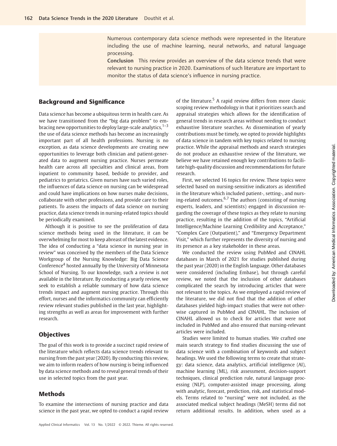Numerous contemporary data science methods were represented in the literature including the use of machine learning, neural networks, and natural language processing.

Conclusion This review provides an overview of the data science trends that were relevant to nursing practice in 2020. Examinations of such literature are important to monitor the status of data science's influence in nursing practice.

# Background and Significance

Data science has become a ubiquitous term in health care. As we have transitioned from the "big data problem" to embracing new opportunities to deploy large-scale analytics, $1-3$ the use of data science methods has become an increasingly important part of all health professions. Nursing is no exception, as data science developments are creating new opportunities to leverage both clinician and patient-generated data to augment nursing practice. Nurses permeate health care across all specialties and clinical areas, from inpatient to community based, bedside to provider, and pediatrics to geriatrics. Given nurses have such varied roles, the influences of data science on nursing can be widespread and could have implications on how nurses make decisions, collaborate with other professions, and provide care to their patients. To assess the impacts of data science on nursing practice, data science trends in nursing-related topics should be periodically examined.

Although it is positive to see the proliferation of data science methods being used in the literature, it can be overwhelming for most to keep abreast of the latest evidence. The idea of conducting a "data science in nursing year in review" was conceived by the members of the Data Science Workgroup of the Nursing Knowledge: Big Data Science Conference<sup>4</sup> hosted annually by the University of Minnesota School of Nursing. To our knowledge, such a review is not available in the literature. By conducting a yearly review, we seek to establish a reliable summary of how data science trends impact and augment nursing practice. Through this effort, nurses and the informatics community can efficiently review relevant studies published in the last year, highlighting strengths as well as areas for improvement with further research.

## **Objectives**

The goal of this work is to provide a succinct rapid review of the literature which reflects data science trends relevant to nursing from the past year (2020). By conducting this review, we aim to inform readers of how nursing is being influenced by data science methods and to reveal general trends of their use in selected topics from the past year.

# Methods

To examine the intersections of nursing practice and data science in the past year, we opted to conduct a rapid review of the literature.<sup>5</sup> A rapid review differs from more classic scoping review methodology in that it prioritizes search and appraisal strategies which allows for the identification of general trends in research areas without needing to conduct exhaustive literature searches. As dissemination of yearly contributions must be timely, we opted to provide highlights of data science in tandem with key topics related to nursing practice. While the appraisal methods and search strategies do not produce an exhaustive review of the literature, we believe we have retained enough key contributions to facilitate high-quality discussion and recommendations for future research.

First, we selected 16 topics for review. These topics were selected based on nursing-sensitive indicators as identified in the literature which included patient-, setting-, and nursing-related outcomes. $6.7$  The authors (consisting of nursing experts, leaders, and scientists) engaged in discussion regarding the coverage of these topics as they relate to nursing practice, resulting in the addition of the topics, "Artificial Intelligence/Machine Learning Credibility and Acceptance," "Complex Care (Outpatient)," and "Emergency Department Visit," which further represents the diversity of nursing and its presence as a key stakeholder in these areas.

We conducted the review using PubMed and CINAHL databases in March of 2021 for studies published during the past year (2020) in the English language. Other databases were considered (including Embase), but through careful review, we noted that the inclusion of other databases complicated the search by introducing articles that were not relevant to the topics. As we employed a rapid review of the literature, we did not find that the addition of other databases yielded high-impact studies that were not otherwise captured in PubMed and CINAHL. The inclusion of CINAHL allowed us to check for articles that were not included in PubMed and also ensured that nursing-relevant articles were included.

Studies were limited to human studies. We crafted one main search strategy to find studies discussing the use of data science with a combination of keywords and subject headings. We used the following terms to create that strategy: data science, data analytics, artificial intelligence (AI), machine learning (ML), risk assessment, decision-support techniques, clinical prediction rule, natural language processing (NLP), computer-assisted image processing, along with analytic, forecast, prediction, risk, and statistical models. Terms related to "nursing" were not included, as the associated medical subject headings (MeSH) terms did not return additional results. In addition, when used as a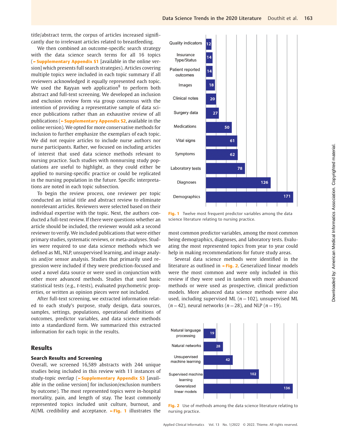title/abstract term, the corpus of articles increased significantly due to irrelevant articles related to breastfeeding.

We then combined an outcome-specific search strategy with the data science search terms for all 16 topics (►Supplementary Appendix S1 [available in the online version] which presents full search strategies). Articles covering multiple topics were included in each topic summary if all reviewers acknowledged it equally represented each topic. We used the Rayyan web application $8$  to perform both abstract and full-text screening. We developed an inclusion and exclusion review form via group consensus with the intention of providing a representative sample of data science publications rather than an exhaustive review of all publications (►Supplementary Appendix S2, available in the online version). We opted for more conservative methods for inclusion to further emphasize the exemplars of each topic. We did not require articles to include nurse authors nor nurse participants. Rather, we focused on including articles of interest that used data science methods relevant to nursing practice. Such studies with nonnursing study populations are useful to highlight, as they could either be applied to nursing-specific practice or could be replicated in the nursing population in the future. Specific interpretations are noted in each topic subsection.

To begin the review process, one reviewer per topic conducted an initial title and abstract review to eliminate nonrelevant articles. Reviewers were selected based on their individual expertise with the topic. Next, the authors conducted a full-text review. If there were questions whether an article should be included, the reviewer would ask a second reviewer to verify. We included publications that were either primary studies, systematic reviews, or meta-analyses. Studies were required to use data science methods which we defined as ML, NLP, unsupervised learning, and image analysis and/or sensor analysis. Studies that primarily used regression were included if they were prediction-focused and used a novel data source or were used in conjunction with other more advanced methods. Studies that used basic statistical tests (e.g., t-tests), evaluated psychometric properties, or written as opinion pieces were not included.

After full-text screening, we extracted information related to each study's purpose, study design, data sources, samples, settings, populations, operational definitions of outcomes, predictor variables, and data science methods into a standardized form. We summarized this extracted information for each topic in the results.

# Results

#### Search Results and Screening

Overall, we screened 16,589 abstracts with 244 unique studies being included in this review with 11 instances of study-topic overlap (►Supplementary Appendix S3 [available in the online version] for inclusion/exclusion numbers by outcome). The most represented topics were in-hospital mortality, pain, and length of stay. The least commonly represented topics included unit culture, burnout, and AI/ML credibility and acceptance.  $\sim$ Fig. 1 illustrates the



Fig. 1 Twelve most frequent predictor variables among the data science literature relating to nursing practice.

most common predictor variables, among the most common being demographics, diagnoses, and laboratory tests. Evaluating the most represented topics from year to year could help in making recommendations for future study areas.

Several data science methods were identified in the literature as outlined in ►Fig. 2. Generalized linear models were the most common and were only included in this review if they were used in tandem with more advanced methods or were used as prospective, clinical prediction models. More advanced data science methods were also used, including supervised ML ( $n = 102$ ), unsupervised ML  $(n = 42)$ , neural networks  $(n = 28)$ , and NLP  $(n = 19)$ .



Fig. 2 Use of methods among the data science literature relating to nursing practice.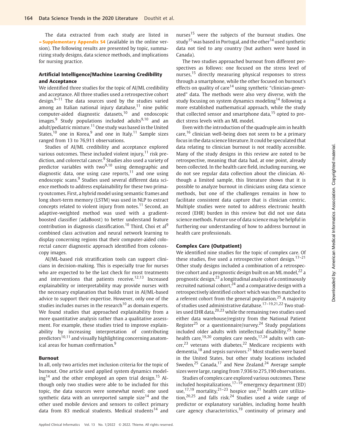The data extracted from each study are listed in ►Supplementary Appendix S4 (available in the online version). The following results are presented by topic, summarizing study designs, data science methods, and implications for nursing practice.

## Artificial Intelligence/Machine Learning Credibility and Acceptance

We identified three studies for the topic of AI/ML credibility and acceptance. All three studies used a retrospective cohort design. $9-11$  The data sources used by the studies varied among an Italian national injury database, $11$  nine public computer-aided diagnostic datasets,<sup>10</sup> and endoscopic images. $9$  Study populations included adults<sup>9,10</sup> and an adult/pediatric mixture.<sup>11</sup> One study was based in the United States, $10$  one in Korea, $9$  and one in Italy. $11$  Sample sizes ranged from 13 to 76,911 observations.

Studies of AI/ML credibility and acceptance explored various outcomes. These included violent injury, $11$  risk prediction, and colorectal cancer.<sup>9</sup> Studies also used a variety of predictor variables with two $9,10$  using demographic and diagnostic data, one using case reports, $11$  and one using endoscopic scans.<sup>9</sup> Studies used several different data science methods to address explainability for these two primary outcomes. First, a hybrid model using semantic frames and long short-term memory (LSTM) was used in NLP to extract concepts related to violent injury from notes.<sup>11</sup> Second, an adaptive-weighted method was used with a gradientboosted classifier (adaBoost) to better understand feature contribution in diagnosis classification.<sup>10</sup> Third, Choi et al<sup>9</sup> combined class activation and neural network learning to display concerning regions that their computer-aided colorectal cancer diagnostic approach identified from colonoscopy images.

AI/ML-based risk stratification tools can support clinicians in decision-making. This is especially true for nurses who are expected to be the last check for most treatments and interventions that patients receive.<sup>12,13</sup> Increased explainability or interpretability may provide nurses with the necessary explanation that builds trust in AI/ML-based advice to support their expertise. However, only one of the studies includes nurses in the research<sup>10</sup> as domain experts. We found studies that approached explainability from a more quantitative analysis rather than a qualitative assessment. For example, these studies tried to improve explainability by increasing interpretation of contributing predictors<sup>10,11</sup> and visually highlighting concerning anatomical areas for human confirmation.<sup>9</sup>

#### Burnout

In all, only two articles met inclusion criteria for the topic of burnout. One article used applied system dynamics model $ing<sup>14</sup>$  and the other employed an open trial design.<sup>15</sup> Although only two studies were able to be included for this topic, the data sources were somewhat novel: one used synthetic data with an unreported sample size<sup>14</sup> and the other used mobile devices and sensors to collect primary data from 83 medical students. Medical students<sup>14</sup> and

nurses<sup>15</sup> were the subjects of the burnout studies. One study<sup>15</sup> was based in Portugal, and the other<sup>14</sup> used synthetic data not tied to any country (but authors were based in Canada).

The two studies approached burnout from different perspectives as follows: one focused on the stress level of nurses,<sup>15</sup> directly measuring physical responses to stress through a smartphone, while the other focused on burnout's effects on quality of care<sup>14</sup> using synthetic "clinician-generated" data. The methods were also very diverse, with the study focusing on system dynamics modeling<sup>14</sup> following a more established mathematical approach, while the study that collected sensor and smartphone data, $15$  opted to predict stress levels with an ML model.

Even with the introduction of the quadruple aim in health care,<sup>16</sup> clinician well-being does not seem to be a primary focus in the data science literature. It could be speculated that data relating to clinician burnout is not readily accessible. Many of the study designs in this review are noted to be retrospective, meaning that data had, at one point, already been collected. In the health care field, including nursing, we do not see regular data collection about the clinician. Although a limited sample, this literature shows that it is possible to analyze burnout in clinicians using data science methods, but one of the challenges remains in how to facilitate consistent data capture that is clinician centric. Multiple studies were noted to address electronic health record (EHR) burden in this review but did not use data science methods. Future use of data science may be helpful in furthering our understanding of how to address burnout in health care professionals.

#### Complex Care (Outpatient)

We identified nine studies for the topic of complex care. Of these studies, five used a retrospective cohort design.<sup>17-21</sup> Other study designs included a combination of a retrospective cohort and a prognostic design built on an ML model,  $22$  a prognostic design, $^{23}$  a longitudinal analysis of a continuously recruited national cohort,<sup>24</sup> and a comparative design with a retrospectively identified cohort which was then matched to a referent cohort from the general population.<sup>25</sup> A majority of studies used administrative database.17–19,21,22 Two studies used EHR data,<sup>20,23</sup> while the remaining two studies used either data warehouse/registry from the National Patient Register<sup>25</sup> or a questionnaire/survey.<sup>24</sup> Study populations included older adults with intellectual disability, $25$  home health care,<sup>19,20</sup> complex care needs,<sup>17,24</sup> adults with cancer,<sup>23</sup> veterans with diabetes,<sup>22</sup> Medicare recipients with dementia,<sup>18</sup> and sepsis survivors.<sup>21</sup> Most studies were based in the United States, but other study locations included Sweden, $25$  Canada, $17$  and New Zealand. $24$  Average sample sizes were large, ranging from 7,936 to 275,190 observations.

Studies of complex care explored various outcomes. These included hospitalizations, $17-\overline{19}$  emergency department (ED) use,<sup>17,19</sup> mortality,<sup>21-23</sup> hospice use,<sup>21</sup> health care utilization,<sup>20,25</sup> and falls risk.<sup>24</sup> Studies used a wide range of predictor or explanatory variables, including home health care agency characteristics, $19$  continuity of primary and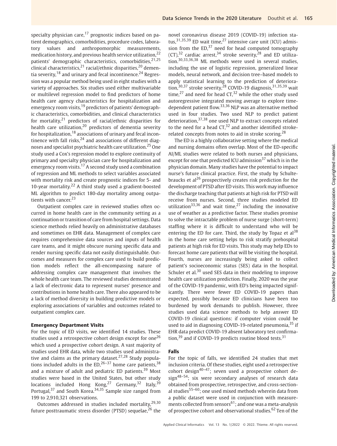specialty physician care,<sup>17</sup> prognostic indices based on patient demographics, comorbidities, procedure codes, laboratory values and anthropomorphic measurements, medication history, and previous health service utilization.<sup>22</sup> patients' demographic characteristics, comorbidities.<sup>21,25</sup> clinical characteristics,<sup>21</sup> racial/ethnic disparities,<sup>20</sup> dementia severity.<sup>18</sup> and urinary and fecal incontinence.<sup>24</sup> Regression was a popular method being used in eight studies with a variety of approaches. Six studies used either multivariable or multilevel regression model to find predictors of home health care agency characteristics for hospitalization and emergency room visits,<sup>19</sup> predictors of patients' demographic characteristics, comorbidities, and clinical characteristics for mortality, $21$  predictors of racial/ethnic disparities for health care utilization, $20$  predictors of dementia severity for hospitalization, $18$  associations of urinary and fecal incontinence with fall risks, $24$  and associations of different diagnoses and specialist psychiatric health care utilization.<sup>25</sup> One study used a Cox's regression model to explore continuity of primary and specialty physician care for hospitalization and emergency room visits.<sup>17</sup> A second study used a combination of regression and ML methods to select variables associated with mortality risk and create prognostic indices for 5- and 10-year mortality.<sup>22</sup> A third study used a gradient-boosted ML algorithm to predict 180-day mortality among outpatients with cancer.<sup>23</sup>

Outpatient complex care in reviewed studies often occurred in home health care in the community setting as a continuation or transition of care from hospital settings. Data science methods relied heavily on administrative databases and sometimes on EHR data. Management of complex care requires comprehensive data sources and inputs of health care teams, and it might obscure nursing specific data and render nursing specific data not easily distinguishable. Outcomes and measures for complex care used to build prediction models reflect the all-encompassing nature of addressing complex care management that involves the whole health care team. The reviewed studies demonstrated a lack of electronic data to represent nurses' presence and contributions in home health care. There also appeared to be a lack of method diversity in building predictive models or exploring associations of variables and outcomes related to outpatient complex care.

#### Emergency Department Visits

For the topic of ED visits, we identified 14 studies. These studies used a retrospective cohort design except for one<sup>26</sup> which used a prospective cohort design. A vast majority of studies used EHR data, while two studies used administrative and claims as the primary dataset.<sup>27,28</sup> Study populations included adults in the ED,  $26-37$  home care patients,  $38$ and a mixture of adult and pediatric ED patients.<sup>39</sup> Most studies were based in the United States, but other study locations included Hong Kong,<sup>27</sup> Germany,<sup>32</sup> Italy,<sup>39</sup> Portugal,<sup>37</sup> and South Korea.<sup>34,35</sup> Sample size ranged from 199 to 2,910,321 observations.

Outcomes addressed in studies included mortality, $29,30$ future posttraumatic stress disorder (PTSD) sequelae,  $26$  the

novel coronavirus disease 2019 (COVID-19) infection status,  $31,35,39$  ED wait time,  $27$  intensive care unit (ICU) admission from the  $ED<sub>37</sub>$  need for head computed tomography (CT),  $32$  cardiac arrest,  $34$  stroke severity,  $28$  and ED utilization.30,33,36,38 ML methods were used in several studies, including the use of logistic regression, generalized linear models, neural network, and decision tree–based models to apply statistical learning to the prediction of deterioration,<sup>30,37</sup> stroke severity,<sup>28</sup> COVID-19 diagnosis,<sup>31,35,39</sup> wait time,<sup>27</sup> and need for head CT,<sup>32</sup> while the other study used autoregressive integrated moving average to explore timedependent patient flow.<sup>33,36</sup> NLP was an alternative method used in four studies. Two used NLP to predict patient deterioration,<sup>37,38</sup> one used NLP to extract concepts related to the need for a head  $CT<sub>1</sub><sup>32</sup>$  and another identified strokerelated concepts from notes to aid in stroke scoring.<sup>28</sup>

The ED is a highly collaborative setting where the medical and nursing domains often overlap. Most of the ED-specific AI/ML studies were related to both nurses and physicians, except for one that predicted ICU admission $37$  which is in the physician domain. Many studies have the potential to impact nurse's future clinical practice. First, the study by Schultebraucks et al<sup>26</sup> prospectively creates risk prediction for the development of PTSD after ED visits. This work may influence the discharge teaching that patients at high risk for PTSD will receive from nurses. Second, three studies modeled ED utilization<sup>33,36</sup> and wait time,<sup>27</sup> including the innovative use of weather as a predictive factor. These studies promise to solve the intractable problem of nurse surge (short-term) staffing where it is difficult to understand who will be entering the ED for care. Third, the study by Topaz et  $al^{38}$ in the home care setting helps to risk stratify prehospital patients at high risk for ED visits. This study may help EDs to forecast home care patients that will be visiting the hospital. Fourth, nurses are increasingly being asked to collect patient's socioeconomic status (SES) data in the hospital. Schuler et al.<sup>30</sup> used SES data in their modeling to improve health care utilization prediction. Finally, 2020 was the year of the COVID-19 pandemic, with ED's being impacted significantly. There were fewer ED COVID-19 papers than expected, possibly because ED clinicians have been too burdened by work demands to publish. However, three studies used data science methods to help answer ED COVID-19 clinical questions: if computer vision could be used to aid in diagnosing COVID-19-related pneumonia,<sup>35</sup> if EHR data predict COVID-19 absent laboratory test confirmation,<sup>39</sup> and if COVID-19 predicts routine blood tests.<sup>31</sup>

#### Falls

For the topic of falls, we identified 24 studies that met inclusion criteria. Of these studies, eight used a retrospective cohort design<sup>40–47</sup>; seven used a prospective cohort design<sup>48-54</sup>; six were secondary analyses of research data obtained from prospective, retrospective, and cross-sectional studies<sup>55-60</sup>; one used mixed methods wherein data from a public dataset were used in conjunction with measurements collected from sensors<sup>61</sup>; and one was a meta-analysis of prospective cohort and observational studies.<sup>62</sup> Ten of the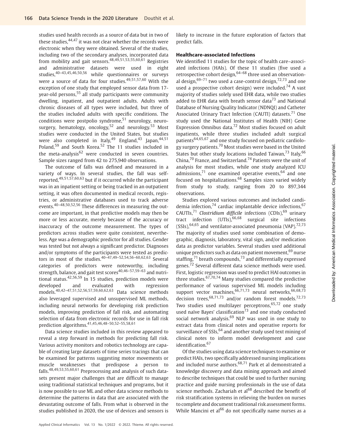studies used health records as a source of data but in two of these studies, <sup>44,47</sup> it was not clear whether the records were electronic when they were obtained. Several of the studies, including two of the secondary analyses, incorporated data from mobility and gait sensors.48,49,51,53,55,60,61 Registries and administrative datasets were used in eight studies.<sup>40–43,45,46,50,56</sup> while questionnaires or surveys were a source of data for four studies.<sup>49,51,57,60</sup> With the exception of one study that employed sensor data from 17 year-old persons,<sup>55</sup> all study participants were community dwelling, inpatient, and outpatient adults. Adults with chronic diseases of all types were included, but three of the studies included adults with specific conditions. The conditions were postpolio syndrome, $51$  neurology, neurosurgery, hematology, oncology,<sup>52</sup> and neurology.<sup>53</sup> Most studies were conducted in the United States, but studies were also completed in Italy,  $49$  England,  $43$  Japan,  $44,51$ Poland,<sup>59</sup> and South Korea.<sup>52</sup> The 11 studies included in the meta-analysis $62$  were conducted in seven countries. Sample sizes ranged from 42 to 275,940 observations.

The outcome of falls was defined and measured in a variety of ways. In several studies, the fall was selfreported,49,51,57,60,63 but if it occurred while the participant was in an inpatient setting or being tracked in an outpatient setting, it was often documented in medical records, registries, or administrative databases used to track adverse events.40–48,50,52,56 These differences in measuring the outcome are important, in that predictive models may then be more or less accurate, merely because of the accuracy or inaccuracy of the outcome measurement. The types of predictors across studies were quite consistent, nevertheless. Age was a demographic predictor for all studies. Gender was tested but not always a significant predictor. Diagnoses and/or symptoms of the participants were tested as predictors in most of the studies. $40-47,49-52,54,56-60,62,63$  Several categories of predictors were noteworthy, including strength, balance, and gait test scores $40,46-57,59-63$  and nutritional status.42,56,59 In 15 studies, prediction models were developed and evaluated with regression models.40,42–47,51,52,56,57,59,60,62,63 Data science methods also leveraged supervised and unsupervised ML methods, including neural networks for developing risk prediction models, improving prediction of fall risk, and automating selection of data from electronic records for use in fall risk prediction algorithms.41,45,46,48–50,52–55,58,61

Data science studies included in this review appeared to reveal a step forward in methods for predicting fall risk. Various activity monitors and robotics technology are capable of creating large datasets of time series tracings that can be examined for patterns suggesting motor movements or muscle weaknesses that predispose a person to falls.48,49,53,55,60,61 Preprocessing and analysis of such datasets present major challenges that are difficult to manage using traditional statistical techniques and programs, but it is now possible to use ML and other data science methods to determine the patterns in data that are associated with the devastating outcome of falls. From what is observed in the studies published in 2020, the use of devices and sensors is likely to increase in the future exploration of factors that predict falls.

#### Healthcare-associated Infections

We identified 11 studies for the topic of health care–associated infections (HAIs). Of these 11 studies (five used a retrospective cohort design,  $64-68$  three used an observational design,  $69-71$  two used a case-control design,  $72,73$  and one used a prospective cohort design) were included.<sup>74</sup> A vast majority of studies solely used EHR data, while two studies added to EHR data with breath sensor data<sup>73</sup> and National Database of Nursing Quality Indicator (NDNQI) and Catheter Associated Urinary Tract Infection (CAUTI) datasets.<sup>71</sup> One study used the National Institutes of Health (NIH) Gene Expression Omnibus data.<sup>72</sup> Most studies focused on adult inpatients, while three studies included adult surgical patients64,65,67 and one study focused on pediatric cardiology surgery patients.<sup>70</sup> Most studies were based in the United States but other study locations included Taiwan,  $73$  Italy,  $66$ China, $70$  France, and Switzerland. $74$  Patients were the unit of analysis for most studies, while one study analyzed ICU admissions, $71$  one examined operative events,  $64$  and one focused on hospitalizations.<sup>68</sup> Samples sizes varied widely from study to study, ranging from 20 to 897,344 observations.

Studies explored various outcomes and included candidemia infection, $74$  cardiac implantable device infections,  $67$ CAUTIs,<sup>71</sup> Clostridium difficile infections (CDIs),<sup>69</sup> urinary tract infection  $(UTIs)$ ,  $66,68$  surgical site infections  $(SSIs),<sup>64,65</sup>$  and ventilator-associated pneumonia (VAP).<sup>72,73</sup> The majority of studies used some combination of demographic, diagnosis, laboratory, vital sign, and/or medication data as predictor variables. Several studies used additional unique predictors such as data on patient movement, <sup>69</sup> nurse staffing, $71$  breath compounds, $73$  and differentially expressed genes.<sup>72</sup> Several different data science methods were used. First, logistic regression was used to predict HAI outcomes in three studies. $67,70,74$  Many studies compared the predictive performance of various supervised ML models including support vector machines,  $66,71,73$  neural networks,  $66,68,73$ decision trees,  $68,71,73$  and/or random forest models.<sup>72,73</sup> Two studies used multilayer perceptrons,  $65,72$  one study used naïve Bayes' classification $^{73}$  and one study conducted social network analysis.<sup>69</sup> NLP was used in one study to extract data from clinical notes and operative reports for surveillance of  $SSIs$ ,  $64$  and another study used text mining of clinical notes to inform model development and case identification.<sup>67</sup>

Of the studies using data science techniques to examine or predict HAIs, two specifically addressed nursing implications and included nurse authors. $68,71$  Park et al demonstrated a knowledge discovery and data mining approach and aimed to describe techniques that could be used to further nursing practice and guide nursing professionals in the use of data science methods. Zachariah et al<sup>68</sup> described the benefit of risk stratification systems in relieving the burden on nurses to complete and document traditional risk assessment forms. While Mancini et al<sup>66</sup> do not specifically name nurses as a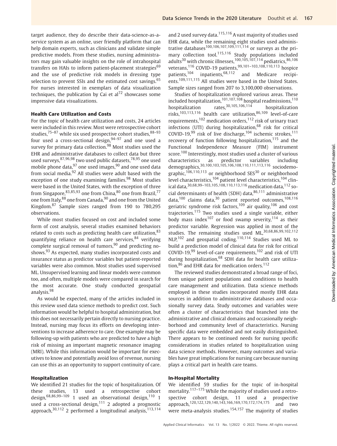target audience, they do describe their data-science-as-aservice system as an online, user friendly platform that can help domain experts, such as clinicians and validate simple predictive models. From these studies, nursing administrators may gain valuable insights on the role of intrahospital transfers on HAIs to inform patient-placement strategies<sup>69</sup> and the use of predictive risk models in dressing type selection to prevent SSIs and the estimated cost savings.<sup>65</sup> For nurses interested in exemplars of data visualization techniques, the publication by Cai et  $al^{72}$  showcases some impressive data visualizations.

#### Health Care Utilization and Costs

For the topic of health care utilization and costs, 24 articles were included in this review. Most were retrospective cohort studies, $75-87$  while six used prospective cohort studies, $88-93$ four used a cross-sectional design,  $94-97$  and one used a survey for primary data collection.<sup>98</sup> Most studies used the EHR and administrative databases to collect data but three used surveys, <sup>87,96,98</sup> two used public datasets, <sup>78,95</sup> one used mobile phone data,  $97$  one used images,  $90$  and one used data from social media.<sup>92</sup> All studies were adult based with the exception of one study examining families.<sup>98</sup> Most studies were based in the United States, with the exception of three from Singapore,  $83,85,93$  one from China,  $80$  one from Brazil,  $77$ one from Italy, <sup>88</sup> one from Canada, <sup>90</sup> and one from the United Kingdom.<sup>87</sup> Sample sizes ranged from 190 to 780,295 observations.

While most studies focused on cost and included some form of cost analysis, several studies examined behaviors related to costs such as predicting health care utilization, 83 quantifying reliance on health care services,<sup>84</sup> verifying complete surgical removal of tumors,  $90$  and predicting noshows.<sup>93</sup> As expected, many studies incorporated costs and insurance status as predictor variables but patient-reported variables were also common. Most studies used supervised ML. Unsupervised learning and linear models were common too, and often, multiple models were compared in search for the most accurate. One study conducted geospatial analysis.<sup>98</sup>

As would be expected, many of the articles included in this review used data science methods to predict cost. Such information would be helpful to hospital administration, but this does not necessarily pertain directly to nursing practice. Instead, nursing may focus its efforts on developing interventions to increase adherence to care. One example may be following-up with patients who are predicted to have a high risk of missing an important magnetic resonance imaging (MRI). While this information would be important for executives to know and potentially avoid loss of revenue, nursing can use this as an opportunity to support continuity of care.

#### Hospitalization

We identified 21 studies for the topic of hospitalization. Of these studies, 13 used a retrospective cohort design, $68,86,99-109$  1 used an observational design, $110$  1 used a cross-sectional design,<sup>111</sup> 2 adopted a prognostic approach, $30,112$  2 performed a longitudinal analysis, $113,114$ 

and 2 used survey data.<sup>115,116</sup> A vast majority of studies used EHR data, while the remaining eight studies used administrative databases<sup>100,106,107,109,111,114</sup> or surveys as the primary collection tool.<sup>115,116</sup> Study populations included adults<sup>30</sup> with chronic illnesses,<sup>100,105,107,114</sup> pediatrics,<sup>86,106</sup> veterans,<sup>116</sup> COVID-19 patients,<sup>99,101–103,108,110,113</sup> hospice patients,<sup>104</sup> inpatients,<sup>68,112</sup> and Medicare recipients.<sup>109,111,115</sup> All studies were based in the United States. Sample sizes ranged from 207 to 3,100,000 observations.

Studies of hospitalization explored various areas. These included hospitalization, <sup>101,107,108</sup> hospital readmissions, <sup>110</sup> hospitalization rates,<sup>30,105,106,114</sup> hospitalization risks,103,113,116 health care utilization,86,109 level-of-care requirements,<sup>102</sup> medication orders,<sup>112</sup> risk of urinary tract infections (UTI) during hospitalization, $68$  risk for critical COVID-19,<sup>99</sup> risk of live discharge,<sup>104</sup> ischemic strokes,<sup>111</sup> recovery of function following hospitalization, $115$  and the Functional Independence Measure (FIM) instrument score.<sup>100</sup> Interestingly, most studies used a cluster of various characteristics as predictor variables including demographics,<sup>30,100,103,105,106,108,110,111,113,116</sup> sociodemographic,<sup>106,110,113</sup> or neighborhood SES<sup>30</sup> or neighborhood level characteristics,<sup>104</sup> patient level characteristics,<sup>104</sup> clinical data, <sup>30,68,99-103,105,108,110,113,116</sup> medication data, <sup>112</sup> social determinants of health (SDH) data, $86,111$  administrative data,<sup>100</sup> claims data,<sup>30</sup> patient reported outcomes,<sup>108,116</sup> geriatric syndrome risk factors,<sup>109</sup> air quality,<sup>106</sup> and cost trajectories.<sup>115</sup> Two studies used a single variable, either body mass index<sup>107</sup> or food swamp severity,<sup>114</sup> as their predictor variable. Regression was applied in most of the studies. The remaining studies used ML, 30, 68, 86, 99, 102, 112 NLP,<sup>102</sup> and geospatial coding.<sup>110,114</sup> Studies used ML to build a prediction model of clinical data for risk for critical COVID-19,<sup>99</sup> level-of-care requirements,<sup>102</sup> and risk of UTI during hospitalization,<sup>68</sup> SDH data for health care utilization,<sup>86</sup> and EHR data for medication orders.<sup>112</sup>

The reviewed studies demonstrated a broad range of foci, from unique patient populations and conditions to health care management and utilization. Data science methods employed in these studies incorporated mostly EHR data sources in addition to administrative databases and occasionally survey data. Study outcomes and variables were often a cluster of characteristics that branched into the administrative and clinical domains and occasionally neighborhood and community level of characteristics. Nursing specific data were embedded and not easily distinguished. There appears to be continued needs for nursing specific considerations in studies related to hospitalization using data science methods. However, many outcomes and variables have great implications for nursing care because nursing plays a critical part in health care teams.

#### In-Hospital Mortality

We identified 59 studies for the topic of in-hospital mortality.<sup>117–175</sup> While the majority of studies used a retrospective cohort design, 11 used a prospective approach,<sup>120,122,129,140,143,166,169,170,172,174,175</sup> and two were meta-analysis studies.<sup>154,157</sup> The majority of studies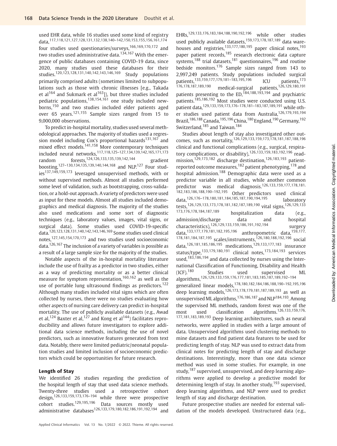used EHR data, while 16 studies used some kind of registry data,117,118,121,127,128,131,132,138,140–142,150,153,155,156,161,174 four studies used questionaries/surveys,<sup>166,169,170,172</sup> and two studies used administrative data.<sup>134,167</sup> With the emergence of public databases containing COVID-19 data, since 2020, many studies used these databases for their studies.120,123,128,131,140,142,143,146,169 Study populations primarily comprised adults (sometimes limited to subpopulations such as those with chronic illnesses [e.g., Takada et al<sup>164</sup> and Sukmark et al<sup>163</sup>]), but three studies included pediatric populations, $138,154,161$  one study included newborns,<sup>150</sup> and two studies included elder patients aged over 65 years.121,155 Sample sizes ranged from 15 to 9,000,000 observations.

To predict in-hospital mortality, studies used several methodological approaches. The majority of studies used a regression model including Cox's proportional hazards<sup>131,167</sup> and mixed effect models.<sup>141,158</sup> More contemporary techniques included neural networks,117,118,125–127,134,139,142,165,171,173 random forests,124,126,133,135,139,142,144 gradient boosting,<sup>127–130,134,135,139,140,144,168</sup> and NLP.<sup>127</sup> Four studies<sup>137,149,159,173</sup> leveraged unsupervised methods, with or without supervised methods. Almost all studies performed some level of validation, such as bootstrapping, cross-validation, or a hold-out approach. A variety of predictors were used as input for these models. Almost all studies included demographics and medical diagnosis. The majority of the studies also used medications and some sort of diagnostic techniques (e.g., laboratory values, images, vital signs, or surgical data). Some studies used COVID-19-specific data.120,123,128,131,140,142,143,146,169 Some studies used clinical notes,127,145,154,170,173 and two studies used socioeconomic data.126,167 The inclusion of a variety of variables is possible as a result of a large sample size for the majority of the studies.

Notable aspects of the in-hospital mortality literature include the use of frailty as a predictor in two studies, either as a way of predicting mortality or as a better clinical measure for symptom representation,<sup>160,162</sup> as well as the use of portable lung ultrasound findings as predictors.<sup>122</sup> Although many studies included vital signs which are often collected by nurses, there were no studies evaluating how other aspects of nursing care delivery can predict in-hospital mortality. The use of publicly available datasets (e.g., Awad et al,<sup>124</sup> Baxter et al,<sup>127</sup> and Kong et al<sup>144</sup>) facilitates reproducibility and allows future investigators to explore additional data science methods, including the use of novel predictors, such as innovative features generated from text data. Notably, there were limited pediatric/neonatal population studies and limited inclusion of socioeconomic predictors which could be opportunities for future research.

#### Length of Stay

We identified 26 studies regarding the prediction of the hospital length of stay that used data science methods. Twenty-three studies used a retrospective cohort design,126,133,159,173,176–<sup>194</sup> while three were prospective cohort studies.129,195,196 Data sources mostly used administrative databases126,133,179,180,182,186,191,192,194 and

EHRs,129,133,176,183,184,188,190,192,196 while other studies used publicly available datasets,<sup>159,173,178,187,189</sup> data warehouses and registries,<sup>133,177,180,195</sup> paper clinical notes.<sup>193</sup> paper patient records,<sup>185</sup> research electronic data capture systems,<sup>188</sup> trial datasets,<sup>181</sup> questionnaires,<sup>196</sup> and routine bedside monitors.<sup>176</sup> Sample sizes ranged from 143 to 2,997,249 patients. Study populations included surgical<br>patients,<sup>133,159,177,179,181-183,195,196</sup> ICU patients.<sup>173</sup> patients,<sup>133,159,177,179,181–183,195,196</sup> ICU<br>176,178,187,189,190 modical currical patients medical-surgical patients,<sup>126,129,180,191</sup> patients presenting to the ED,<sup>184,188,193,194</sup> and psychiatric patients.185,186,192 Most studies were conducted using U.S. patient data,129,133,159,173,176–178,181–183,187,189,191 while other studies used patient data from Australia,<sup>126,179,193,194</sup> Brazil,<sup>186,188</sup> Canada,<sup>195,196</sup> China,<sup>180</sup> England,<sup>190</sup> Germany,<sup>192</sup> Switzerland,<sup>185</sup> and Taiwan.<sup>184</sup>

Studies about length of stay also investigated other outcomes, such as mortality,126,129,133,159,173,178,181,187,188,196 clinical and functional complications (e.g., surgical, respiratory complications, or disability),<sup>126,133,159,183,192,196</sup> readmission,<sup>129,173,182</sup> discharge destination,<sup>126,183,193</sup> patientreported outcome measures,<sup>182</sup> patient phenotyping,<sup>178</sup> and hospital admission.<sup>188</sup> Demographic data were used as a predictor variable in all studies, while another common predictor was medical diagnosis.126,133,159,177,178,181, 182,183,186,188,190–192,195 Other predictors used clinical data,126,176–178,180,181,184,185,187,190,194,195 laboratory tests,126,129,133,173,178,181,182,187,189,190 vital signs,126,129,133 hospitalization data (e.g., admission/discharge data and hospital characteristics),<sup>126,129,133,159,186,191,192,194</sup> surgery data,<sup>133,177,179,181,182,195,196</sup> anthropometric data,<sup>159,177</sup>, 178,181,184,187,195 scales/instruments,126,180,188,192,196 social data,126,181,185,186,195 medications,129,133,177,183 insurance status/type,133,179,180,191 clinical notes,173,184,193 services used,<sup>183,186,194</sup> and data collected by nurses using the International Classification of Functioning, Disability and Health (ICF).<sup>180</sup> Studies used supervised ML algorithms,126,129,133,159,176,177,181,183,185,187,189,192–<sup>194</sup> generalized linear models,178,180,182,184,186,188,190–192,195,196 deep learning models,126,173,178,179,181,187,189,193 as well as unsupervised ML algorithms,<sup>176,186,187</sup> and NLP<sup>184,193</sup>. Among the supervised ML methods, random forest was one of the most used classification algorithms.<sup>126,133,159,176,</sup> 177,181,183,189,193 Deep learning architectures, such as neural networks, were applied in studies with a large amount of data. Unsupervised algorithms used clustering methods to mine datasets and find patient data features to be used for predicting length of stay. NLP was used to extract data from clinical notes for predicting length of stay and discharge destinations. Interestingly, more than one data science method was used in some studies. For example, in one study, <sup>187</sup> supervised, unsupervised, and deep learning algorithms were applied to develop a predictive model for determining length of stay. In another study,  $193$  supervised, deep learning algorithms, and NLP were used to predict length of stay and discharge destination.

Future prospective studies are needed for external validation of the models developed. Unstructured data (e.g.,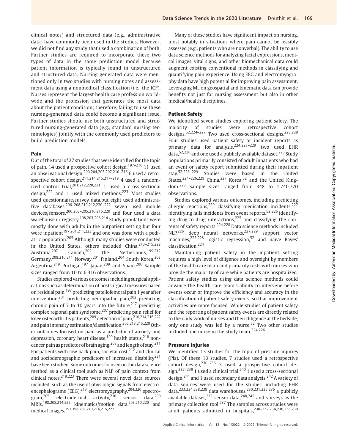clinical notes) and structured data (e.g., administrative data) have commonly been used in the studies. However, we did not find any study that used a combination of both. Further studies are required to incorporate these two types of data in the same prediction model because patient information is typically found in unstructured and structured data. Nursing-generated data were mentioned only in two studies with nursing notes and assessment data using a nonmedical classification (i.e., the ICF). Nurses represent the largest health care profession worldwide and the profession that generates the most data about the patient condition; therefore, failing to use these nursing-generated data could become a significant issue. Further studies should use both unstructured and structured nursing-generated data (e.g., standard nursing terminologies) jointly with the commonly used predictors to build prediction models.

#### Pain

Out of the total of 27 studies that were identified for the topic of pain, 14 used a prospective cohort design,  $197-210$  11 used an observational design,200,204,205,207,210–<sup>216</sup> 6 used a retrospective cohort design,<sup>211,214,215,217–219</sup> 4 used a randomized control trial,  $201,212,220,221$  1 used a cross-sectional design,<sup>222</sup> and 1 used mixed methods.<sup>223</sup> Most studies used questionnaire/survey data,but eight used administrative databases,  $206 - 208,210,212,220 - 222$  seven used mobile devices/sensors,200,203–205,210,216,220 and four used a data warehouse or registry.<sup>198,203,208,214</sup> Study populations were mostly done with adults in the outpatient setting but four were inpatient<sup>197,201,211,223</sup> and one was done with a pediatric population.<sup>205</sup> Although many studies were conducted in the United States, others included China,  $^{213-215,222}$ <br>Australia,  $^{207}$  Canada,  $^{202}$  the Netherlands,  $^{199,212}$ Australia,<sup>207</sup> Canada,<sup>202</sup> the Netherlands,<sup>199,212</sup> Germany,<sup>208,210,211</sup> Norway,<sup>201</sup> Finland,<sup>204</sup> South Korea,<sup>203</sup> Argentina,<sup>219</sup> Portugal,<sup>197</sup> Japan,<sup>209</sup> and Spain.<sup>206</sup> Sample sizes ranged from 10 to 6,316 observations.

Studies explored various outcomesincluding surgical applications such as determination of postsurgical measures based on residual pain,<sup>197</sup> predicting patellofemoral pain 1 year after intervention,<sup>201</sup> predicting neuropathic pain,<sup>202</sup> predicting chronic pain of 7 to 10 years into the future, $217$  predicting complex regional pain syndrome,<sup>207</sup> predicting pain relief for knee osteoarthritis patients,<sup>209</sup> detection of pain,<sup>210,214,216,222</sup> and pain intensity estimation/classification.<sup>205,213,215,220</sup> Other outcomes focused on pain as a predictor of anxiety and depression, coronary heart disease,<sup>199</sup> health status,<sup>218</sup> nondepression, coronary near cancers, nearest and length of stay.<sup>211</sup> For patients with low back pain, societal cost, $2^{12}$  and clinical and sociodemographic predictors of increased disability<sup>221</sup> have been studied. Some outcomes focused on the data science method as a clinical tool such as NLP of pain context from clinical notes. $219,223$  There were several novel data sources included, such as the use of physiologic signals from electroencephalograms (EEG),<sup>213</sup> electromyography,<sup>204,220</sup> spectrogram, $^{205}$  electrodermal activity, $^{216}$  sensor data, $^{200}$ MRIs,198,208,214,222 kinematics/motion data,203,210,220 and medical images.197,198,208,210,214,215,222

Many of these studies have significant impact on nursing, most notably in situations where pain cannot be feasibly assessed (e.g., patients who are nonverbal). The ability to use data science methods for analyzing facial expressions, medical images, vital signs, and other biomechanical data could augment existing conventional methods in classifying and quantifying pain experience. Using EEG and electromyography data have high potential for improving pain assessment. Leveraging ML on geospatial and kinematic data can provide benefits not just for nursing assessment but also in other medical/health disciplines.

#### Patient Safety

We identified seven studies exploring patient safety. The majority of studies were retrospective cohort designs.<sup>52,224-227</sup> Two used cross-sectional designs.<sup>228,229</sup> Four studies used patient safety or incident reports as primary data for analysis,<sup>224,227-229</sup> two used EHR data,  $52,226$  and one used a publicly available dataset.  $225$  Study populations primarily consisted of adult inpatients who had an event or safety report submitted during their inpatient stay.52,226–<sup>229</sup> Studies were based in the United States,<sup>224–226,229</sup> China,<sup>227</sup> Korea,<sup>52</sup> and the United Kingdom.<sup>228</sup> Sample sizes ranged from 348 to 1,740,770 observations.

Studies explored various outcomes, including predicting allergic reactions,<sup>229</sup> classifying medication incidents,<sup>227</sup> identifying falls incidents from event reports,<sup>52,226</sup> identifying drug-to-drug interactions, $225$  and classifying the contents of safety reports.<sup>224,228</sup> Data science methods included NLP,<sup>226</sup> deep neural networks,<sup>227,229</sup> support vector machines,<sup>225,228</sup> logistic regression,<sup>52</sup> and naïve Bayes' classification.<sup>224</sup>

Maintaining patient safety in the inpatient setting requires a high level of diligence and oversight by members of the health care team and primarily rests with nurses who provide the majority of care while patients are hospitalized. Patient safety studies using data science methods could advance the health care team's ability to intervene before events occur or improve the efficiency and accuracy in the classification of patient safety events, so that improvement activities are more focused. While studies of patient safety and the reporting of patient safety events are directly related to the daily work of nurses and their diligence at the bedside, only one study was led by a nurse. $52$  Two other studies included one nurse in the study team.224,226

#### Pressure Injuries

We identified 13 studies for the topic of pressure injuries (PIs). Of these 13 studies, 7 studies used a retrospective cohort design,  $230-236$  3 used a prospective cohort design,<sup>237–239</sup> 1 used a clinical trial,<sup>240</sup> 1 used a cross-sectional design,<sup>241</sup> and 1 used secondary data analysis.<sup>242</sup> A variety of data sources were used for the studies, including EHR data,233,234,238,239 data warehouses,230,231,235,236 a publicly available dataset,  $232$  sensor data,  $240,242$  and surveys as the primary collection tool.<sup>237</sup> The samples across studies were adult patients admitted in hospitals,<sup>230-232,234,236,238,239</sup>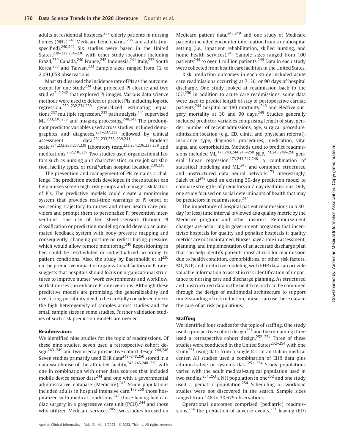adults in residential hospices, $237$  elderly patients in nursing homes  $(NHs)$ ,<sup>241</sup> Medicare beneficiaries,<sup>235</sup> and adults (unspecified).<sup>240,242</sup> Six studies were based in the United States.<sup>230–232,234–236</sup> with other study locations including Brazil,<sup>239</sup> Canada,<sup>240</sup> France,<sup>242</sup> Indonesia,<sup>241</sup> Italy,<sup>237</sup> South Korea,<sup>238</sup> and Taiwan.<sup>233</sup> Sample sizes ranged from 12 to 2,091,058 observations.

Most studies used the incidence rate of PIs as the outcome, except for one study<sup>234</sup> that projected PI closure and two studies $240,242$  that explored PI images. Various data science methods were used to detect or predict PIs including logistic regression,230–232,234,239 generalized estimating equations,<sup>237</sup> multiple regression,<sup>235</sup> path analysis,<sup>241</sup> supervised ML,233,236,238 and imaging processing.240,242 The predominant predictor variables used across studies included demographics and diagnoses, $231-237,239$  followed by clinical assessment data,231,233,235–239,241 Braden's scale,231,232,236,237,239 laboratory tests,233,234,236,238,239 and medications.232,236,239 Two studies used organizational factors such as nursing unit characteristics, nurse job satisfaction, facility types, or rural/urban hospital location.<sup>230,235</sup>

The prevention and management of PIs remains a challenge. The prediction models developed in these studies can help nurses screen high-risk groups and manage risk factors of PIs. The predictive models could create a monitoring system that provides real-time warnings of PI onset or worsening trajectory to nurses and other health care providers and prompt them to personalize PI prevention interventions. The use of bed sheet sensors through PI classification or prediction modeling could develop an automated feedback system with body pressure mapping and consequently, changing posture or redistributing pressure, which would allow remote monitoring.<sup>240</sup> Repositioning in bed could be rescheduled or individualized according to patient conditions. Also, the study by Baernholdt et  $al<sup>230</sup>$ on the predictive impact of organizational factors on PI rates suggests that hospitals should focus on organizational structures to improve nurses' work environments and workflow, so that nurses can enhance PI interventions. Although these predictive models are promising, the generalizability and overfitting possibility need to be carefully considered due to the high heterogeneity of samples across studies and the small sample sizes in some studies. Further validation studies of such risk prediction models are needed.

#### Readmissions

We identified nine studies for the topic of readmissions. Of these nine studies, seven used a retrospective cohort design<sup>243-249</sup> and two used a prospective cohort design.<sup>244,246</sup> Seven studies primarily used EHR data<sup>243-248,250</sup> stored in a data warehouse of the affiliated facility,<sup>243,246,248-250</sup> with one in combination with other data sources that included mobile device sensor data<sup>244</sup> and one with a governmental administrative database (Medicare).<sup>245</sup> Study populations included adults in hospital intensive care,  $173,250$  those hospitalized with medical conditions, $243$  those having had cardiac surgery in a progressive care unit  $(PCU)$ ,<sup>244</sup> and those who utilized Medicare services.<sup>245</sup> Two studies focused on

Medicare patient data,  $245,249$  and one study of Medicare patients included encounter information from a nonhospital setting (i.e., inpatient rehabilitation, skilled nursing, and home health services).<sup>245</sup> Sample sizes ranged from 100 patients<sup>244</sup> to over 1 million patients.<sup>249</sup> Data in each study were collected from health care facilities in the United States.

Risk prediction outcomes in each study included acute care readmissions occurring at 7, 30, or 90 days of hospital discharge. One study looked at readmission back to the ICU.<sup>250</sup> In addition to acute care readmissions, some data were used to predict length of stay of postoperative cardiac patients, $244$  hospital or 180 mortality, $246$  and elective surgery mortality at 30 and 90 days.<sup>249</sup> Studies generally included predictor variables comprising length of stay, gender, number of recent admissions, age, surgical procedure, admission location (e.g., ED, clinic, and physician referral), insurance type, diagnosis, procedures, medication, vital signs, and comorbidities. Methods used to predict readmissions included ML,<sup>173,243,244,246-250</sup> NLP,<sup>173,246,248-250</sup> general linear regression,<sup>173,243,247,248</sup> a combination of statistical modeling and ML,<sup>245</sup> and combined structured and unstructured data neural network.<sup>173</sup> Interestingly, Saleh et  $al^{248}$  used an existing 30-day prediction model to compare strengths of predictors in 7-day readmissions. Only one study focused on social determinants of health that may be predictors in readmissions.<sup>247</sup>

The importance of hospital patient readmissions in a 30 day (or less) time interval is viewed as a quality metric by the Medicare program and other insurers. Reimbursement changes are occurring in government programs that incentivize hospitals for quality and penalize hospitals if quality metrics are not maintained. Nurses have a role in assessment, planning, and implementation of an accurate discharge plan that can help identify patients most at risk for readmission due to health condition, comorbidities, or other risk factors. ML, NLP, and predictive modeling with EHR data can provide valuable information to assist in risk identification of importance to nursing care and discharge planning. As structured and unstructured data in the health record can be combined through the design of multimodal architecture to support understanding of risk reduction, nurses can use these data in the care of at-risk populations.

#### **Staffing**

We identified four studies for the topic of staffing. One study used a prospective cohort design<sup>251</sup> and the remaining three used a retrospective cohort design.<sup>252–254</sup> Three of these studies were conducted in the United States<sup>252-254</sup> with one study<sup>251</sup> using data from a single ICU in an Italian medical center. All studies used a combination of EHR data plus administrative or systems data. $251-254$  Study populations varied with the adult medical-surgical population used in two studies,<sup>251,253</sup> a NH population in one<sup>252</sup> and one study used a pediatric population.<sup>254</sup> Scheduling or workload studies were not discovered in the search. Sample sizes ranged from 148 to 30,679 observations.

Operational outcomes comprised (pediatric) readmissions,<sup>254</sup> the prediction of adverse events,<sup>251</sup> leaving (ED)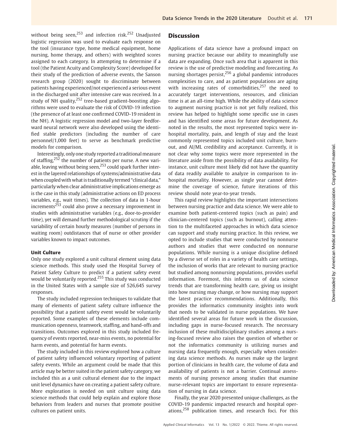without being seen, $^{253}$  and infection risk. $^{252}$  Unadjusted logistic regression was used to evaluate each response on the tool (insurance type, home medical equipment, home nursing, home therapy, and others) with weighted scores assigned to each category. In attempting to determine if a tool (the Patient Acuity and Complexity Score) developed for their study of the prediction of adverse events, the Sanson research group (2020) sought to discriminate between patients having experienced/not experienced a serious event in the discharged unit after intensive care was received. In a study of NH quality, $252$  tree-based gradient-boosting algorithms were used to evaluate the risk of COVID-19 infection (the presence of at least one confirmed COVID-19 resident in the NH). A logistic regression model and two-layer feedforward neural network were also developed using the identified stable predictors (including the number of care personnel/1,000 feet) to serve as benchmark predictive models for comparison.

Interestingly, only one study reported a traditionalmeasure of staffing, $252$  the number of patients per nurse. A new variable, leaving without being seen, $^{253}$  could spark further interest in the layered relationships of systems/administrative data when coupled with what is traditionally termed "clinical data," particularly when clear administrative implications emerge as is the case in this study (administrative actions on ED process variables, e.g., wait times). The collection of data in 1-hour increments<sup>253</sup> could also prove a necessary improvement in studies with administrative variables (e.g., door-to-provider time), yet will demand further methodological scrutiny if the variability of certain hourly measures (number of persons in waiting room) outdistances that of nurse or other provider variables known to impact outcomes.

#### Unit Culture

Only one study explored a unit cultural element using data science methods. This study used the Hospital Survey of Patient Safety Culture to predict if a patient safety event would be voluntarily reported.<sup>255</sup> This study was conducted in the United States with a sample size of 526,645 survey responses.

The study included regression techniques to validate that many of elements of patient safety culture influence the possibility that a patient safety event would be voluntarily reported. Some examples of these elements include communication openness, teamwork, staffing, and hand-offs and transitions. Outcomes explored in this study included frequency of events reported, near-miss events, no potential for harm events, and potential for harm events.

The study included in this review explored how a culture of patient safety influenced voluntary reporting of patient safety events. While an argument could be made that this article may be better suited in the patient safety category, we included this as a unit cultural element due to the impact unit level dynamics have on creating a patient safety culture. More exploration is needed on unit culture using data science methods that could help explain and explore those behaviors from leaders and nurses that promote positive cultures on patient units.

#### **Discussion**

Applications of data science have a profound impact on nursing practice because our ability to meaningfully use data are expanding. Once such area that is apparent in this review is the use of predictive modeling and forecasting. As nursing shortages persist, $256$  a global pandemic introduces complexities to care, and as patient populations are aging with increasing rates of comorbidities, $257$  the need to accurately target interventions, resources, and clinician time is at an all-time high. While the ability of data science to augment nursing practice is not yet fully realized, this review has helped to highlight some specific use in cases and has identified some areas for future development. As noted in the results, the most represented topics were inhospital mortality, pain, and length of stay and the least commonly represented topics included unit culture, burnout, and AI/ML credibility and acceptance. Currently, it is not clear why some topics were more represented in the literature aside from the possibility of data availability. For instance, unit culture most likely did not have the quantity of data readily available to analyze in comparison to inhospital mortality. However, as single year cannot determine the coverage of science, future iterations of this review should note year-to-year trends.

This rapid review highlights the important intersections between nursing practice and data science. We were able to examine both patient-centered topics (such as pain) and clinician-centered topics (such as burnout), calling attention to the multifaceted approaches in which data science can support and study nursing practice. In this review, we opted to include studies that were conducted by nonnurse authors and studies that were conducted on nonnurse populations. While nursing is a unique discipline defined by a diverse set of roles in a variety of health care settings, the inclusion of works that are relevant to nursing practice but studied among nonnursing populations, provides useful information. Foremost, this informs us of data science trends that are transforming health care, giving us insight into how nursing may change, or how nursing may support the latest practice recommendations. Additionally, this provides the informatics community insights into work that needs to be validated in nurse populations. We have identified several areas for future work in the discussion, including gaps in nurse-focused research. The necessary inclusion of these multidisciplinary studies among a nursing-focused review also raises the question of whether or not the informatics community is utilizing nurses and nursing data frequently enough, especially when considering data science methods. As nurses make up the largest portion of clinicians in health care, the volume of data and availability of patients is not a barrier. Continual assessments of nursing presence among studies that examine nurse-relevant topics are important to ensure representation of nursing in data science.

Finally, the year 2020 presented unique challenges, as the COVID-19 pandemic impacted research and hospital operations,<sup>258</sup> publication times, and research foci. For this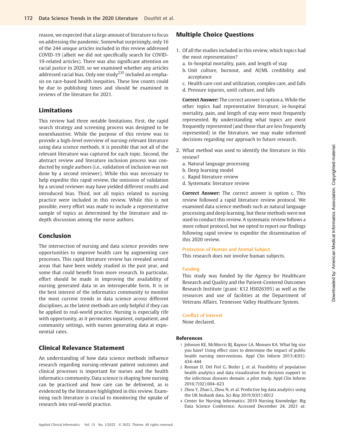reason, we expected that a large amount of literature to focus on addressing the pandemic. Somewhat surprisingly, only 16 of the 244 unique articles included in this review addressed COVID-19 (albeit we did not specifically search for COVID-19-related articles). There was also significant attention on racial justice in 2020, so we examined whether any articles addressed racial bias. Only one study<sup>235</sup> included an emphasis on race-based health inequities. These low counts could be due to publishing times and should be examined in reviews of the literature for 2021.

# Limitations

This review had three notable limitations. First, the rapid search strategy and screening process was designed to be nonexhaustive. While the purpose of this review was to provide a high-level overview of nursing-relevant literature using data science methods, it is possible that not all of the relevant literature was captured for each topic. Second, the abstract review and literature inclusion process was conducted by single authors (i.e., validation of inclusion was not done by a second reviewer). While this was necessary to help expedite this rapid review, the omission of validation by a second reviewer may have yielded different results and introduced bias. Third, not all topics related to nursing practice were included in this review. While this is not possible, every effort was made to include a representative sample of topics as determined by the literature and indepth discussion among the nurse authors.

# Conclusion

The intersection of nursing and data science provides new opportunities to improve health care by augmenting care processes. This rapid literature review has revealed several areas that have been widely studied in the past year, and some that could benefit from more research. In particular, effort should be made in improving the availability of nursing generated data in an interoperable form. It is in the best interest of the informatics community to monitor the most current trends in data science across different disciplines, as the latest methods are only helpful if they can be applied to real-world practice. Nursing is especially rife with opportunity, as it permeates inpatient, outpatient, and community settings, with nurses generating data at exponential rates.

# Clinical Relevance Statement

An understanding of how data science methods influence research regarding nursing-relevant patient outcomes and clinical processes is important for nurses and the health informatics community. Data science is shaping how nursing can be practiced and how care can be delivered, as is evidenced by the literature highlighted in this review. Examining such literature is crucial to monitoring the uptake of research into real-world practice.

# Multiple Choice Questions

- 1. Of all the studies included in this review, which topics had the most representation?
	- a. In-hospital mortality, pain, and length of stay
	- b. Unit culture, burnout, and AI/ML credibility and acceptance
	- c. Health care cost and utilization, complex care, and falls
	- d. Pressure injuries, until culture, and falls

Correct Answer: The correct answer is option a. While the other topics had representative literature, in-hospital mortality, pain, and length of stay were most frequently represented. By understanding what topics are most frequently represented (and those that are less frequently represented) in the literature, we may make informed decisions regarding our approach to future research.

- 2. What method was used to identify the literature in this review?
	- a. Natural language processing
	- b. Deep learning model
	- c. Rapid literature review
	- d. Systematic literature review

Correct Answer: The correct answer is option c. This review followed a rapid literature review protocol. We examined data science methods such as natural language processing and deep learning, but these methods were not used to conduct this review. A systematic review follows a more robust protocol, but we opted to report our findings following rapid review to expedite the dissemination of this 2020 review.

#### Protection of Human and Animal Subject

This research does not involve human subjects.

### Funding

This study was funded by the Agency for Healthcare Research and Quality and the Patient-Centered Outcomes Research Institute (grant: K12 HS026395) as well as the resources and use of facilities at the Department of Veterans Affairs, Tennessee Valley Healthcare System.

#### Conflict of Interest

None declared.

### References

- 1 Johnson KE, McMorris BJ, Raynor LA, Monsen KA. What big size you have! Using effect sizes to determine the impact of public health nursing interventions. Appl Clin Inform 2013;4(03): 434–444
- 2 Roosan D, Del Fiol G, Butler J, et al. Feasibility of population health analytics and data visualization for decision support in the infectious diseases domain: a pilot study. Appl Clin Inform 2016;7(02):604–623
- 3 Zhou Y, Zhao L, Zhou N, et al. Predictive big data analytics using the UK biobank data. Sci Rep 2019;9(01):6012
- 4 Center for Nursing Informatics. 2019 Nursing Knowledge: Big Data Science Conference. Accessed December 24, 2021 at: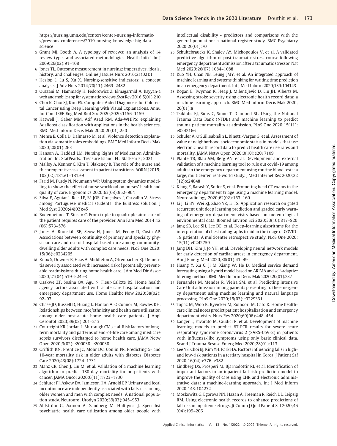[https://nursing.umn.edu/centers/center-nursing-informatic](https://nursing.umn.edu/centers/center-nursing-informatics/previous-conferences/2019-nursing-knowledge-big-data-science)[s/previous-conferences/2019-nursing-knowledge-big-data](https://nursing.umn.edu/centers/center-nursing-informatics/previous-conferences/2019-nursing-knowledge-big-data-science)[science](https://nursing.umn.edu/centers/center-nursing-informatics/previous-conferences/2019-nursing-knowledge-big-data-science)

- 5 Grant MJ, Booth A. A typology of reviews: an analysis of 14 review types and associated methodologies. Health Info Libr J 2009;26(02):91–108
- 6 Jones TL. Outcome measurement in nursing: imperatives, ideals, history, and challenges. Online J Issues Nurs 2016;21(02):1
- 7 Heslop L, Lu S, Xu X. Nursing-sensitive indicators: a concept analysis. J Adv Nurs 2014;70(11):2469–2482
- 8 Ouzzani M, Hammady H, Fedorowicz Z, Elmagarmid A. Rayyan-a web and mobile app for systematic reviews. Syst Rev 2016;5(01):210
- 9 Choi K, Choi SJ, Kim ES. Computer-Aided Diagonosis for Colorectal Cancer using Deep Learning with Visual Explanations. Annu Int Conf IEEE Eng Med Biol Soc 2020;2020:1156–1159
- 10 Hatwell J, Gaber MM, Atif Azad RM. Ada-WHIPS: explaining AdaBoost classification with applications in the health sciences. BMC Med Inform Decis Mak 2020;20(01):250
- 11 Mensa E, Colla D, Dalmasso M, et al. Violence detection explanation via semantic roles embeddings. BMC Med Inform Decis Mak 2020;20(01):263
- 12 Hanson A, Haddad LM. Nursing Rights of Medication Administration. In: StatPearls. Treasure Island, FL: StatPearls; 2021
- 13 Malley A, Kenner C, Kim T, Blakeney B. The role of the nurse and the preoperative assessment in patient transitions. AORN J 2015; 102(02):181.e1–181.e9
- 14 Farid M, Purdy N, Neumann WP. Using system dynamics modelling to show the effect of nurse workload on nurses' health and quality of care. Ergonomics 2020;63(08):952–964
- 15 Silva E, Aguiar J, Reis LP, Sá JOE, Gonçalves J, Carvalho V. Stress among Portuguese medical students: the EuStress solution. J Med Syst 2020;44(02):45
- 16 Bodenheimer T, Sinsky C. From triple to quadruple aim: care of the patient requires care of the provider. Ann Fam Med 2014;12 (06):573–576
- 17 Jones A, Bronskill SE, Seow H, Junek M, Feeny D, Costa AP. Associations between continuity of primary and specialty physician care and use of hospital-based care among communitydwelling older adults with complex care needs. PLoS One 2020; 15(06):e0234205
- 18 Knox S, Downer B, Haas A, Middleton A, Ottenbacher KJ. Dementia severity associated with increased risk of potentially preventable readmissions during home health care. J Am Med Dir Assoc 2020;21(04):519–524.e3
- 19 Osakwe ZT, Sosina OA, Agu N, Fleur-Calixte RS. Home health agency factors associated with acute care hospitalization and emergency department use. Home Healthc Now 2020;38(02): 92–97
- 20 Chase JD, Russell D, Huang L, Hanlon A, O'Connor M, Bowles KH. Relationships between race/ethnicity and health care utilization among older post-acute home health care patients. J Appl Gerontol 2020;39(02):201–213
- 21 Courtright KR, Jordan L, Murtaugh CM, et al. Risk factors for longterm mortality and patterns of end-of-life care among medicare sepsis survivors discharged to home health care. JAMA Netw Open 2020;3(02):e200038–e200038
- 22 Griffith KN, Prentice JC, Mohr DC, Conlin PR. Predicting 5- and 10-year mortality risk in older adults with diabetes. Diabetes Care 2020;43(08):1724–1731
- 23 Manz CR, Chen J, Liu M, et al. Validation of a machine learning algorithm to predict 180-day mortality for outpatients with cancer. JAMA Oncol 2020;6(11):1723–1730
- 24 Schluter PJ, Askew DA, Jamieson HA, Arnold EP. Urinary and fecal incontinence are independently associated with falls risk among older women and men with complex needs: A national population study. Neurourol Urodyn 2020;39(03):945–953
- 25 Ahlström G, Axmon A, Sandberg M, Hultqvist J. Specialist psychiatric health care utilization among older people with

intellectual disability - predictors and comparisons with the general population: a national register study. BMC Psychiatry 2020;20(01):70

- 26 Schultebraucks K, Shalev AY, Michopoulos V, et al. A validated predictive algorithm of post-traumatic stress course following emergency department admission after a traumatic stressor. Nat Med 2020;26(07):1084–1088
- 27 Kuo YH, Chan NB, Leung JMY, et al. An integrated approach of machine learning and systems thinking for waiting time prediction in an emergency department. Int J Med Inform 2020;139:104143
- 28 Kogan E, Twyman K, Heap J, Milentijevic D, Lin JH, Alberts M. Assessing stroke severity using electronic health record data: a machine learning approach. BMC Med Inform Decis Mak 2020; 20(01):8
- 29 Tsiklidis EJ, Sims C, Sinno T, Diamond SL. Using the National Trauma Data Bank (NTDB) and machine learning to predict trauma patient mortality at admission. PLoS One 2020;15(11): e0242166
- 30 Schuler A, O'Súilleabháin L, Rinetti-Vargas G, et al. Assessment of value of neighborhood socioeconomic status in models that use electronic health record data to predict health care use rates and mortality. JAMA Netw Open 2020;3(10):e2017109
- 31 Plante TB, Blau AM, Berg AN, et al. Development and external validation of a machine learning tool to rule out covid-19 among adults in the emergency department using routine blood tests: a large, multicenter, real-world study. J Med Internet Res 2020;22 (12):e24048
- 32 Klang E, Barash Y, Soffer S, et al. Promoting head CT exams in the emergency department triage using a machine learning model. Neuroradiology 2020;62(02):153–160
- 33 Li J, Li BY, Wei ZJ, Zhao YZ, Li TS. Application research on gated recurrent unit deep learning prediction and graded early warning of emergency department visits based on meteorological environmental data. Biomed Environ Sci 2020;33(10):817–820
- 34 Jang SB, Lee SH, Lee DE, et al. Deep-learning algorithms for the interpretation of chest radiographs to aid in the triage of COVID-19 patients: A multicenter retrospective study. PLoS One 2020; 15(11):e0242759
- 35 Jang DH, Kim J, Jo YH, et al. Developing neural network models for early detection of cardiac arrest in emergency department. Am J Emerg Med 2020;38(01):43–49
- 36 Huang Y, Xu C, Ji M, Xiang W, He D. Medical service demand forecasting using a hybrid model based on ARIMA and self-adaptive filtering method. BMC Med Inform Decis Mak 2020;20(01):237
- 37 Fernandes M, Mendes R, Vieira SM, et al. Predicting Intensive Care Unit admission among patients presenting to the emergency department using machine learning and natural language processing. PLoS One 2020;15(03):e0229331
- 38 Topaz M, Woo K, Ryvicker M, Zolnoori M, Cato K. Home healthcare clinical notes predict patient hospitalization and emergency department visits. Nurs Res 2020;69(06):448–454
- 39 Langer T, Favarato M, Giudici R, et al. Development of machine learning models to predict RT-PCR results for severe acute respiratory syndrome coronavirus 2 (SARS-CoV-2) in patients with influenza-like symptoms using only basic clinical data. Scand J Trauma Resusc Emerg Med 2020;28(01):113
- 40 Lee YS, Choi EJ, Kim YH, Park HA. Factors influencing falls in highand low-risk patients in a tertiary hospital in Korea. J Patient Saf 2020;16(04):e376–e382
- 41 Lindberg DS, Prosperi M, Bjarnadottir RI, et al. Identification of important factors in an inpatient fall risk prediction model to improve the quality of care using EHR and electronic administrative data: a machine-learning approach. Int J Med Inform 2020;143:104272
- 42 Moskowitz G, Egorova NN, Hazan A, Freeman R, Reich DL, Leipzig RM. Using electronic health records to enhance predictions of fall risk in inpatient settings. Jt Comm J Qual Patient Saf 2020;46 (04):199–206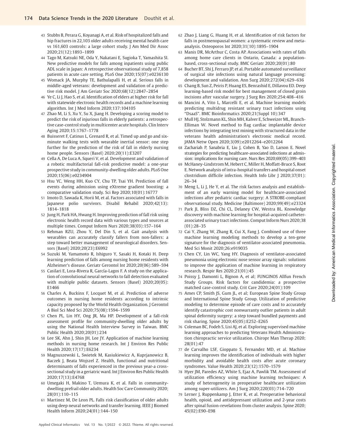- 43 Stubbs B, Perara G, Koyanagi A, et al. Risk of hospitalized falls and hip fractures in 22,103 older adults receiving mental health care vs 161,603 controls: a large cohort study. J Am Med Dir Assoc 2020;21(12):1893–1899
- 44 Tago M, Katsuki NE, Oda Y, Nakatani E, Sugioka T, Yamashita SI. New predictive models for falls among inpatients using public ADL scale in Japan: A retrospective observational study of 7,858 patients in acute care setting. PLoS One 2020;15(07):e0236130
- 45 Womack JA, Murphy TE, Bathulapalli H, et al. Serious falls in middle-aged veterans: development and validation of a predictive risk model. J Am Geriatr Soc 2020;68(12):2847–2854
- 46 Ye C, Li J, Hao S, et al. Identification of elders at higher risk for fall with statewide electronic health records and a machine learning algorithm. Int J Med Inform 2020;137:104105
- 47 Zhao M, Li S, Xu Y, Su X, Jiang H. Developing a scoring model to predict the risk of injurious falls in elderly patients: a retrospective case-control study in multicenter acute hospitals. Clin Interv Aging 2020;15:1767–1778
- 48 Buisseret F, Catinus L, Grenard R, et al. Timed up and go and sixminute walking tests with wearable inertial sensor: one step further for the prediction of the risk of fall in elderly nursing home people. Sensors (Basel) 2020;20(11):E3207
- 49 Cella A, De Luca A, Squeri V, et al. Development and validation of a robotic multifactorial fall-risk predictive model: a one-year prospective study in community-dwelling older adults. PLoS One 2020;15(06):e0234904
- 50 Hsu YC, Weng HH, Kuo CY, Chu TP, Tsai YH. Prediction of fall events during admission using eXtreme gradient boosting: a comparative validation study. Sci Rep 2020;10(01):16777
- 51 Imoto D, Sawada K, Horii M, et al. Factors associated with falls in Japanese polio survivors. Disabil Rehabil 2020;42(13): 1814–1818
- 52 Jung H, Park HA, Hwang H. Improving prediction of fall risk using electronic health record data with various types and sources at multiple times. Comput Inform Nurs 2020;38(03):157–164
- 53 Rehman RZU, Zhou Y, Del Din S, et al. Gait analysis with wearables can accurately classify fallers from non-fallers: a step toward better management of neurological disorders. Sensors (Basel) 2020;20(23):E6992
- 54 Suzuki M, Yamamoto R, Ishiguro Y, Sasaki H, Kotaki H. Deep learning prediction of falls among nursing home residents with Alzheimer's disease. Geriatr Gerontol Int 2020;20(06):589–594
- 55 Casilari E, Lora-Rivera R, García-Lagos F. A study on the application of convolutional neural networks to fall detection evaluated with multiple public datasets. Sensors (Basel) 2020;20(05): E1466
- 56 Charles A, Buckinx F, Locquet M, et al. Prediction of adverse outcomes in nursing home residents according to intrinsic capacity proposed by the World Health Organization. J Gerontol A Biol Sci Med Sci 2020;75(08):1594–1599
- 57 Chen PL, Lin HY, Ong JR, Ma HP. Development of a fall-risk assessment profile for community-dwelling older adults by using the National Health Interview Survey in Taiwan. BMC Public Health 2020;20(01):234
- 58 Lee SK, Ahn J, Shin JH, Lee JY. Application of machine learning methods in nursing home research. Int J Environ Res Public Health 2020;17(17):E6234
- 59 Magnuszewski L, Swietek M, Kasiukiewicz A, Kuprjanowicz B, Baczek J, Beata Wojszel Z. Health, functional and nutritional determinants of falls experienced in the previous year-a crosssectional study in a geriatric ward. Int J Environ Res Public Health 2020;17(13):E4768
- 60 Umegaki H, Makino T, Uemura K, et al. Falls in communitydwelling prefrail older adults. Health Soc Care Community 2020; 28(01):110–115
- 61 Martinez M, De Leon PL. Falls risk classification of older adults using deep neural networks and transfer learning. IEEE J Biomed Health Inform 2020;24(01):144–150
- 62 Zhao J, Liang G, Huang H, et al. Identification of risk factors for falls in postmenopausal women: a systematic review and metaanalysis. Osteoporos Int 2020;31(10):1895–1904
- 63 Manis DR, McArthur C, Costa AP. Associations with rates of falls among home care clients in Ontario, Canada: a populationbased, cross-sectional study. BMC Geriatr 2020;20(01):80
- 64 Bucher BT, Shi J, Ferraro JP, et al. Portable automated surveillance of surgical site infections using natural language processing: development and validation. Ann Surg 2020;272(04):629–636
- 65 Chang B, Sun Z, Peiris P, Huang ES, Benrashid E, Dillavou ED. Deep learning-based risk model for best management of closed groin incisions after vascular surgery. J Surg Res 2020;254:408-416
- 66 Mancini A, Vito L, Marcelli E, et al. Machine learning models predicting multidrug resistant urinary tract infections using "DsaaS". BMC Bioinformatics 2020;21(Suppl 10):347
- 67 Mull HJ, Stolzmann KL, Shin MH, Kalver E, Schweizer ML, Branch-Elliman W. Novel method to flag cardiac implantable device infections by integrating text mining with structured data in the veterans health administration's electronic medical record. JAMA Netw Open 2020;3(09):e2012264–e2012264
- 68 Zachariah P, Sanabria E, Liu J, Cohen B, Yao D, Larson E. Novel strategies for predicting healthcare-associated infections at admission: implications for nursing care. Nurs Res 2020;69(05):399–403
- 69 McHaney-Lindstrom M, Hebert C, Miller H, Moffatt-Bruce S, Root E. Network analysis of intra-hospital transfers and hospital onset clostridium difficile infection. Health Info Libr J 2020;37(01): 26–34
- 70 Meng L, Li J, He Y, et al. The risk factors analysis and establishment of an early warning model for healthcare-associated infections after pediatric cardiac surgery: A STROBE-compliant observational study. Medicine (Baltimore) 2020;99(49):e23324
- 71 Park JI, Bliss DZ, Chi CL, Delaney CW, Westra BL. Knowledge discovery with machine learning for hospital-acquired catheterassociated urinary tract infections. Comput Inform Nurs 2020;38 (01):28–35
- 72 Cai Y, Zhang W, Zhang R, Cui X, Fang J. Combined use of three machine learning modeling methods to develop a ten-gene signature for the diagnosis of ventilator-associated pneumonia. Med Sci Monit 2020;26:e919035
- 73 Chen CY, Lin WC, Yang HY. Diagnosis of ventilator-associated pneumonia using electronic nose sensor array signals: solutions to improve the application of machine learning in respiratory research. Respir Res 2020;21(01):45
- 74 Poissy J, Damonti L, Bignon A, et al; FUNGINOS Allfun French Study Groups. Risk factors for candidemia: a prospective matched case-control study. Crit Care 2020;24(01):109
- 75 Ames CP, Smith JS, Gum JL, et al; European Spine Study Group and International Spine Study Group. Utilization of predictive modeling to determine episode of care costs and to accurately identify catastrophic cost nonwarranty outlier patients in adult spinal deformity surgery: a step toward bundled payments and risk sharing. Spine 2020;45(05):E252–E265
- 76 Coleman BC, Fodeh S, Lisi AJ, et al. Exploring supervised machine learning approaches to predicting Veterans Health Administration chiropractic service utilization. Chiropr Man Therap 2020; 28(01):47
- 77 de Carvalho LSF, Gioppato S, Fernandez MD, et al. Machine learning improves the identification of individuals with higher morbidity and avoidable health costs after acute coronary syndromes. Value Health 2020;23(12):1570–1579
- 78 Hyer JM, Paredes AZ, White S, Ejaz A, Pawlik TM. Assessment of utilization efficiency using machine learning techniques: A study of heterogeneity in preoperative healthcare utilization among super-utilizers. Am J Surg 2020;220(03):714–720
- 79 Lerner J, Ruppenkamp J, Etter K, et al. Preoperative behavioral health, opioid, and antidepressant utilization and 2-year costs after spinal fusion-revelations from cluster analysis. Spine 2020; 45(02):E90–E98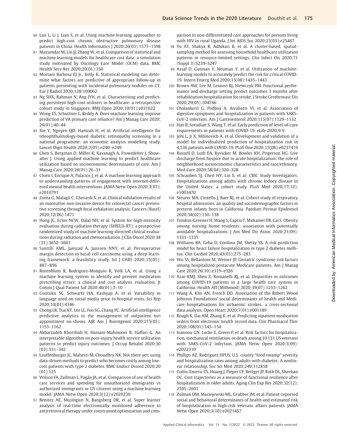- 80 Luo L, Li J, Lian S, et al. Using machine learning approaches to predict high-cost chronic obstructive pulmonary disease patients in China. Health Informatics J 2020;26(03):1577–1598
- 81 Mazumdar M, Lin JJ, Zhang W, et al. Comparison of statistical and machine learning models for healthcare cost data: a simulation study motivated by Oncology Care Model (OCM) data. BMC Health Serv Res 2020;20(01):350
- 82 Mortani Barbosa EJ Jr., Kelly K. Statistical modeling can determine what factors are predictive of appropriate follow-up in patients presenting with incidental pulmonary nodules on CT. Eur J Radiol 2020;128:109062
- 83 Ng SHX, Rahman N, Ang IYH, et al. Characterising and predicting persistent high-cost utilisers in healthcare: a retrospective cohort study in Singapore. BMJ Open 2020;10(01):e031622
- 84 Wong ES, Schuttner L, Reddy A. Does machine learning improve prediction of VA primary care reliance? Am J Manag Care 2020; 26(01):40–44
- 85 Xie Y, Nguyen QD, Hamzah H, et al. Artificial intelligence for teleophthalmology-based diabetic retinopathy screening in a national programme: an economic analysis modelling study. Lancet Digit Health 2020;2(05):e240–e249
- 86 Chen S, Bergman D, Miller K, Kavanagh A, Frownfelter J, Showalter J. Using applied machine learning to predict healthcare utilization based on socioeconomic determinants of care. Am J Manag Care 2020;26(01):26–31
- 87 Chien I, Enrique A, Palacios J, et al. A machine learning approach to understanding patterns of engagement with internet-delivered mental health interventions. JAMA Netw Open 2020;3(07): e2010791
- 88 Zonta G, Malagù C, Gherardi S, et al. Clinical validation results of an innovative non-invasive device for colorectal cancer preventive screening through fecal exhalation analysis. Cancers (Basel) 2020;12(06):1471
- 89 Hong JC, Eclov NCW, Dalal NH, et al. System for high-intensity evaluation during radiation therapy (SHIELD-RT): a prospective randomized study of machine learning-directed clinical evaluations during radiation and chemoradiation. J Clin Oncol 2020;38 (31):3652–3661
- 90 Santilli AML, Jamzad A, Janssen NNY, et al. Perioperative margin detection in basal cell carcinoma using a deep learning framework: a feasibility study. Int J CARS 2020;15(05): 887–896
- 91 Rozenblum R, Rodriguez-Monguio R, Volk LA, et al. Using a machine learning system to identify and prevent medication prescribing errors: a clinical and cost analysis evaluation. Jt Comm J Qual Patient Saf 2020;46(01):3–10
- 92 Guntuku SC, Schwartz HA, Kashyap A, et al. Variability in language used on social media prior to hospital visits. Sci Rep 2020;10(01):4346
- 93 Chong LR, Tsai KT, Lee LL, Foo SG, Chang PC. Artificial intelligence predictive analytics in the management of outpatient mri appointment no-shows. AJR Am J Roentgenol 2020;215(05): 1155–1162
- 94 Akbarzadeh Khorshidi H, Hassani-Mahmooei B, Haffari G. An interpretable algorithm on post-injury health service utilization patterns to predict injury outcomes. J Occup Rehabil 2020;30 (03):331–342
- 95 Lauffenburger JC, Mahesri M, Choudhry NK. Not there yet: using data-driven methods to predict who becomes costly among lowcost patients with type 2 diabetes. BMC Endocr Disord 2020;20 (01):125
- 96 Wilson FA, Zallman L, Pagán JA, et al. Comparison of use of health care services and spending for unauthorized immigrants vs authorized immigrants or US citizens using a machine learning model. JAMA Netw Open 2020;3(12):e2029230
- 97 Benitez AE, Musinguzi N, Bangsberg DR, et al. Super learner analysis of real-time electronically monitored adherence to antiretroviral therapy under constrained optimization and com-

parison to non-differentiated care approaches for persons living with HIV in rural Uganda. J Int AIDS Soc 2020;23(03):e25467

- 98 Yu AT, Shakya R, Adhikari B, et al. A cluster-based, spatialsampling method for assessing household healthcare utilization patterns in resource-limited settings. Clin Infect Dis 2020;71 (Suppl 3):S239–S247
- 99 Assaf D, Gutman Y, Neuman Y, et al. Utilization of machinelearning models to accurately predict the risk for critical COVID-19. Intern Emerg Med 2020;15(08):1435–1443
- 100 Brown AW, Lee M, Lennon RJ, Niewczyk PM. Functional performance and discharge setting predict outcomes 3 months after rehabilitation hospitalization for stroke. J Stroke Cerebrovasc Dis 2020;29(05):104746
- 101 Cholankeril G, Podboy A, Aivaliotis VI, et al. Association of digestive symptoms and hospitalization in patients with SARS-CoV-2 infection. Am J Gastroenterol 2020;115(07):1129–1132
- 102 Hao B, Sotudian S, Wang T, et al. Early prediction of level-of-care requirements in patients with COVID-19. eLife 2020;9:9
- 103 Jehi L, Ji X, Milinovich A, et al. Development and validation of a model for individualized prediction of hospitalization risk in 4,536 patients with COVID-19. PLoS One 2020;15(08):e0237419
- 104 Russell D, Luth EA, Ryvicker M, Bowles KH, Prigerson HG. Live discharge from hospice due to acute hospitalization: the role of neighborhood socioeconomic characteristics and race/ethnicity. Med Care 2020;58(04):320–328
- 105 Schrauben SJ, Chen HY, Lin E, et al; CRIC Study Investigators. Hospitalizations among adults with chronic kidney disease in the United States: a cohort study. PLoS Med 2020;17(12): e1003470
- 106 Steurer MA, Costello J, Baer RJ, et al. Cohort study of respiratory hospital admissions, air quality and sociodemographic factors in preterm infants born in California. Paediatr Perinat Epidemiol 2020;34(02):130–138
- 107 Temkin-Greener H, Wang S, Caprio T, Mukamel DB, Cai S. Obesity among nursing home residents: association with potentially avoidable hospitalizations. J Am Med Dir Assoc 2020;21(09): 1331–1335
- 108 Williams BA, Geba D, Cordova JM, Shetty SS. A risk prediction model for heart failure hospitalization in type 2 diabetes mellitus. Clin Cardiol 2020;43(03):275–283
- 109 Wu SS, Bellantoni M, Weiner JP. Geriatric syndrome risk factors among hospitalized postacute Medicare patients. Am J Manag Care 2020;26(10):e319–e326
- 110 Azar KMJ, Shen Z, Romanelli RJ, et al. Disparities in outcomes among COVID-19 patients in a large health care system in California. Health Aff (Millwood) 2020;39(07):1253–1262
- 111 Wang A, Kho AN, French DD. Association of the Robert Wood Johnson Foundations' social determinants of health and Medicare hospitalisations for ischaemic strokes: a cross-sectional data analysis. Open Heart 2020;7(01):e001189
- 112 Rough K, Dai AM, Zhang K, et al. Predicting inpatient medication orders from electronic health record data. Clin Pharmacol Ther 2020;108(01):145–154
- 113 Ioannou GN, Locke E, Green P, et al. Risk factors for hospitalization, mechanical ventilation, or death among 10 131 US veterans with SARS-CoV-2 infection. JAMA Netw Open 2020;3(09): e2022310
- 114 Phillips AZ, Rodriguez HPUS. U.S. county "food swamp" severity and hospitalization rates among adults with diabetes: A nonlinear relationship. Soc Sci Med 2020;249:112858
- 115 Colón-Emeric CS, Huang J, Pieper CF, Bettger JP, Roth DL, Sheehan OC. Cost trajectories as a measure of functional resilience after hospitalization in older adults. Aging Clin Exp Res 2020;32(12): 2595–2601
- 116 Zulman DM, Maciejewski ML, Grubber JM, et al. Patient-reported social and behavioral determinants of health and estimated risk of hospitalization in high-risk veterans affairs patients. JAMA Netw Open 2020;3(10):e2021457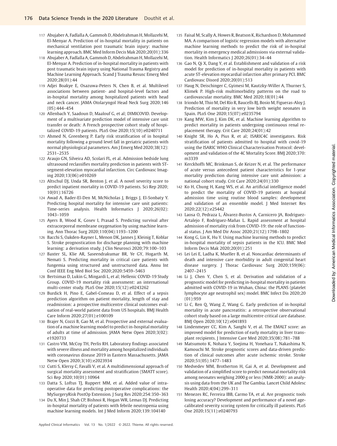- 117 Abujaber A, Fadlalla A, Gammoh D, Abdelrahman H, Mollazehi M, El-Menyar A. Prediction of in-hospital mortality in patients on mechanical ventilation post traumatic brain injury: machine learning approach. BMC Med Inform Decis Mak 2020;20(01):336
- 118 Abujaber A, Fadlalla A, Gammoh D, Abdelrahman H, Mollazehi M, El-Menyar A. Prediction of in-hospital mortality in patients with post traumatic brain injury using National Trauma Registry and Machine Learning Approach. Scand J Trauma Resusc Emerg Med 2020;28(01):44
- 119 Adjei Boakye E, Osazuwa-Peters N, Chen B, et al. Multilevel associations between patient- and hospital-level factors and in-hospital mortality among hospitalized patients with head and neck cancer. JAMA Otolaryngol Head Neck Surg 2020;146 (05):444–454
- 120 Allenbach Y, Saadoun D, Maalouf G, et al; DIMICOVID. Development of a multivariate prediction model of intensive care unit transfer or death: A French prospective cohort study of hospitalized COVID-19 patients. PLoS One 2020;15(10):e0240711
- 121 Ahmed N, Greenberg P. Early risk stratification of in hospital mortality following a ground level fall in geriatric patients with normal physiological parameters. Am J Emerg Med 2020;38(12): 2531–2535
- 122 Araujo GN, Silveira AD, Scolari FL, et al. Admission bedside lung ultrasound reclassifies mortality prediction in patients with STsegment-elevation myocardial infarction. Circ Cardiovasc Imaging 2020;13(06):e010269
- 123 Altschul DJ, Unda SR, Benton J, et al. A novel severity score to predict inpatient mortality in COVID-19 patients. Sci Rep 2020; 10(01):16726
- 124 Awad A, Bader-El-Den M, McNicholas J, Briggs J, El-Sonbaty Y. Predicting hospital mortality for intensive care unit patients: Time-series analysis. Health Informatics J 2020;26(02): 1043–1059
- 125 Ayers B, Wood K, Gosev I, Prasad S. Predicting survival after extracorporeal membrane oxygenation by using machine learning. Ann Thorac Surg 2020;110(04):1193–1200
- 126 Bacchi S, Oakden-Rayner L, Menon DK, Jannes J, Kleinig T, Koblar S. Stroke prognostication for discharge planning with machine learning: a derivation study. J Clin Neurosci 2020;79:100–103
- 127 Baxter SL, Klie AR, Saseendrakumar BR, Ye GY, Hogarth M, Nemati S. Predicting mortality in critical care patients with fungemia using structured and unstructured data. Annu Int Conf IEEE Eng Med Biol Soc 2020;2020:5459–5463
- 128 Bertsimas D, Lukin G, Mingardi L, et al; Hellenic COVID-19 Study Group. COVID-19 mortality risk assessment: an international multi-center study. PLoS One 2020;15(12):e0243262
- 129 Burdick H, Pino E, Gabel-Comeau D, et al. Effect of a sepsis prediction algorithm on patient mortality, length of stay and readmission: a prospective multicentre clinical outcomes evaluation of real-world patient data from US hospitals. BMJ Health Care Inform 2020;27(01):e100109
- 130 Brajer N, Cozzi B, Gao M, et al. Prospective and external evaluation of a machine learning model to predict in-hospital mortality of adults at time of admission. JAMA Netw Open 2020;3(02): e1920733
- 131 Castro VM, McCoy TH, Perlis RH. Laboratory findings associated with severe illness and mortality among hospitalized individuals with coronavirus disease 2019 in Eastern Massachusetts. JAMA Netw Open 2020;3(10):e2023934
- 132 Cutti S, Klersy C, Favalli V, et al. A multidimensional approach of surgical mortality assessment and stratification (SMATT score). Sci Rep 2020;10(01):10964
- 133 Datta S, Loftus TJ, Ruppert MM, et al. Added value of intraoperative data for predicting postoperative complications: the MySurgeryRisk PostOp Extension. J Surg Res 2020;254:350–363
- 134 Du X, Min J, Shah CP, Bishnoi R, Hogan WR, Lemas DJ. Predicting in-hospital mortality of patients with febrile neutropenia using machine learning models. Int J Med Inform 2020;139:104140
- 135 Faisal M, Scally A, Howes R, Beatson K, Richardson D, Mohammed MA. A comparison of logistic regression models with alternative machine learning methods to predict the risk of in-hospital mortality in emergency medical admissions via external validation. Health Informatics J 2020;26(01):34–44
- 136 Gao N, Qi X, Dang Y, et al. Establishment and validation of a risk model for prediction of in-hospital mortality in patients with acute ST-elevation myocardial infarction after primary PCI. BMC Cardiovasc Disord 2020;20(01):513
- 137 Haug N, Deischinger C, Gyimesi M, Kautzky-Willer A, Thurner S, Klimek P. High-risk multimorbidity patterns on the road to cardiovascular mortality. BMC Med 2020;18(01):44
- 138 Iriondo M, Thio M, Del Río R, Baucells BJ, Bosio M, Figueras-Aloy J. Prediction of mortality in very low birth weight neonates in Spain. PLoS One 2020;15(07):e0235794
- 139 Kang MW, Kim J, Kim DK, et al. Machine learning algorithm to predict mortality in patients undergoing continuous renal replacement therapy. Crit Care 2020;24(01):42
- 140 Knight SR, Ho A, Pius R, et al; ISARIC4C investigators. Risk stratification of patients admitted to hospital with covid-19 using the ISARIC WHO Clinical Characterisation Protocol: development and validation of the 4C Mortality Score. BMJ 2020;370: m3339
- 141 Kerckhoffs MC, Brinkman S, de Keizer N, et al. The performance of acute versus antecedent patient characteristics for 1-year mortality prediction during intensive care unit admission: a national cohort study. Crit Care 2020;24(01):330
- 142 Ko H, Chung H, Kang WS, et al. An artificial intelligence model to predict the mortality of COVID-19 patients at hospital admission time using routine blood samples: development and validation of an ensemble model. J Med Internet Res 2020;22(12):e25442
- 143 Laosa O, Pedraza L, Álvarez-Bustos A, Carnicero JA, Rodriguez-Artalejo F, Rodriguez-Mañas L. Rapid assessment at hospital admission of mortality risk from COVID-19: the role of functional status. J Am Med Dir Assoc 2020;21(12):1798–1802
- 144 Kong G, Lin K, Hu Y. Using machine learning methods to predict in-hospital mortality of sepsis patients in the ICU. BMC Med Inform Decis Mak 2020;20(01):251
- 145 Lei Lei E, Ladha K, Mueller B, et al. Noncardiac determinants of death and intensive care morbidity in adult congenital heart disease surgery. J Thorac Cardiovasc Surg 2020;159(06): 2407–2415
- 146 Li J, Chen Y, Chen S, et al. Derivation and validation of a prognostic model for predicting in-hospital mortality in patients admitted with COVID-19 in Wuhan, China: the PLANS (platelet lymphocyte age neutrophil sex) model. BMC Infect Dis 2020;20 (01):959
- 147 Li C, Ren Q, Wang Z, Wang G. Early prediction of in-hospital mortality in acute pancreatitis: a retrospective observational cohort study based on a large multicentre critical care database. BMJ Open 2020;10(12):e041893
- 148 Lindenmeyer CC, Kim A, Sanghi V, et al. The EMALT score: an improved model for prediction of early mortality in liver transplant recipients. J Intensive Care Med 2020;35(08):781–788
- 149 Matsumoto K, Nohara Y, Soejima H, Yonehara T, Nakashima N, Kamouchi M. Stroke prognostic scores and data-driven prediction of clinical outcomes after acute ischemic stroke. Stroke 2020;51(05):1477–1483
- 150 Medvedev MM, Brotherton H, Gai A, et al. Development and validation of a simplified score to predict neonatal mortality risk among neonates weighing 2000 g or less (NMR-2000): an analysis using data from the UK and The Gambia. Lancet Child Adolesc Health 2020;4(04):299–311
- 151 Menezes RC, Ferreira IBB, Carmo TA, et al. Are prognostic tools losing accuracy? Development and performance of a novel agecalibrated severity scoring system for critically ill patients. PLoS One 2020;15(11):e0240793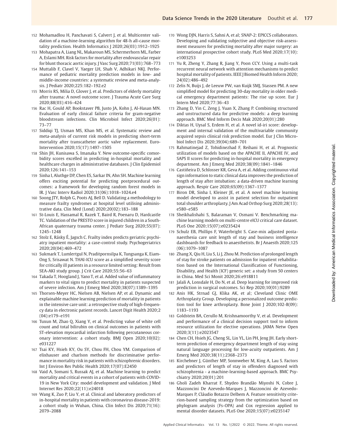- 152 Mohamadlou H, Panchavati S, Calvert J, et al. Multicenter validation of a machine-learning algorithm for 48-h all-cause mortality prediction. Health Informatics J 2020;26(03):1912–1925
- 153 Mohapatra A, Liang NL, Makaroun MS, Schermerhorn ML, Farber A, Eslami MH. Risk factors for mortality after endovascular repair for blunt thoracic aortic injury. J Vasc Surg 2020;71(03):768–773
- 154 Muttalib F, Clavel V, Yaeger LH, Shah V, Adhikari NKJ. Performance of pediatric mortality prediction models in low- and middle-income countries: a systematic review and meta-analysis. J Pediatr 2020;225:182–192.e2
- 155 Morris RS, Milia D, Glover J, et al. Predictors of elderly mortality after trauma: A novel outcome score. J Trauma Acute Care Surg 2020;88(03):416–424
- 156 Rac H, Gould AP, Bookstaver PB, Justo JA, Kohn J, Al-Hasan MN. Evaluation of early clinical failure criteria for gram-negative bloodstream infections. Clin Microbiol Infect 2020;26(01): 73–77
- 157 Siddiqi TJ, Usman MS, Khan MS, et al. Systematic review and meta-analysis of current risk models in predicting short-term mortality after transcatheter aortic valve replacement. Euro-Intervention 2020;15(17):1497–1505
- 158 Shin JH, Kunisawa S, Imanaka Y. New outcome-specific comorbidity scores excelled in predicting in-hospital mortality and healthcare charges in administrative databases. J Clin Epidemiol 2020;126:141–153
- 159 Sinha I, Aluthge DP, Chen ES, Sarkar IN, Ahn SH. Machine learning offers exciting potential for predicting postprocedural outcomes: a framework for developing random forest models in IR. J Vasc Interv Radiol 2020;31(06):1018–1024.e4
- 160 Soong JTY, Rolph G, Poots AJ, Bell D. Validating a methodology to measure frailty syndromes at hospital level utilising administrative data. Clin Med (Lond) 2020;20(02):183–188
- 161 St-Louis E, Hassamal R, Razek T, Baird R, Poenaru D, Hardcastle TC. Validation of the PRESTO score in injured children in a South-African quaternary trauma center. J Pediatr Surg 2020;55(07): 1245–1248
- 162 Stolz E, Rásky É, Jagsch C. Frailty index predicts geriatric psychiatry inpatient mortality: a case-control study. Psychogeriatrics 2020;20(04):469–472
- 163 Sukmark T, Lumlertgul N, Praditpornsilpa K, Tungsanga K, Eiam-Ong S, Srisawat N. THAI-ICU score as a simplified severity score for critically ill patients in a resource limited setting: Result from SEA-AKI study group. J Crit Care 2020;55:56–63
- 164 Takada T, Hoogland J, Yano T, et al. Added value of inflammatory markers to vital signs to predict mortality in patients suspected of severe infection. Am J Emerg Med 2020;38(07):1389–1395
- 165 Thorsen-Meyer HC, Nielsen AB, Nielsen AP, et al. Dynamic and explainable machine learning prediction of mortality in patients in the intensive care unit: a retrospective study of high-frequency data in electronic patient records. Lancet Digit Health 2020;2 (04):e179–e191
- 166 Tuxun M, Zhao Q, Xiang Y, et al. Predicting value of white cell count and total bilirubin on clinical outcomes in patients with ST-elevation myocardial infarction following percutaneous coronary intervention: a cohort study. BMJ Open 2020;10(02): e031227
- 167 Tsai KY, Hsieh KY, Ou SY, Chou FH, Chou YM. Comparison of elixhauser and charlson methods for discriminative performance in mortality risk in patients with schizophrenic disorders. Int J Environ Res Public Health 2020;17(07):E2450
- 168 Vaid A, Somani S, Russak AJ, et al. Machine learning to predict mortality and critical events in a cohort of patients with COVID-19 in New York City: model development and validation. J Med Internet Res 2020;22(11):e24018
- 169 Wang K, Zuo P, Liu Y, et al. Clinical and laboratory predictors of in-hospital mortality in patients with coronavirus disease-2019: a cohort study in Wuhan, China. Clin Infect Dis 2020;71(16): 2079–2088
- 170 Wong DJN, Harris S, Sahni A, et al; SNAP-2: EPICCS collaborators. Developing and validating subjective and objective risk-assessment measures for predicting mortality after major surgery: an international prospective cohort study. PLoS Med 2020;17(10): e1003253
- 171 Yu R, Zheng Y, Zhang R, Jiang Y, Poon CCY. Using a multi-task recurrent neural network with attention mechanisms to predict hospital mortality of patients. IEEE J Biomed Health Inform 2020; 24(02):486–492
- 172 Zelis N, Buijs J, de Leeuw PW, van Kuijk SMJ, Stassen PM. A new simplified model for predicting 30-day mortality in older medical emergency department patients: The rise up score. Eur J Intern Med 2020;77:36–43
- 173 Zhang D, Yin C, Zeng J, Yuan X, Zhang P. Combining structured and unstructured data for predictive models: a deep learning approach. BMC Med Inform Decis Mak 2020;20(01):280
- 174 Diktas H, Uysal S, Erdem H, et al. A novel id-iri score: development and internal validation of the multivariable community acquired sepsis clinical risk prediction model. Eur J Clin Microbiol Infect Dis 2020;39(04):689–701
- 175 Rahmatinejad Z, Tohidinezhad F, Reihani H, et al. Prognostic utilization of models based on the APACHE II, APACHE IV, and SAPS II scores for predicting in-hospital mortality in emergency department. Am J Emerg Med 2020;38(09):1841–1846
- 176 Castiñeira D, Schlosser KR, Geva A, et al. Adding continuous vital sign information to static clinical data improves the prediction of length of stay after intubation: a data-driven machine learning approach. Respir Care 2020;65(09):1367–1377
- 177 Biron DR, Sinha I, Kleiner JE, et al. A novel machine learning model developed to assist in patient selection for outpatient total shoulder arthroplasty. J Am Acad Orthop Surg 2020;28(13): e580–e585
- 178 Sheikhalishahi S, Balaraman V, Osmani V. Benchmarking machine learning models on multi-centre eICU critical care dataset. PLoS One 2020;15(07):e0235424
- 179 Schulz EB, Phillips F, Waterbright S. Case-mix adjusted postanaesthesia care unit length of stay and business intelligence dashboards for feedback to anaesthetists. Br J Anaesth 2020;125 (06):1079–1087
- 180 Zhang X, Qiu H, Liu S, Li J, Zhou M. Prediction of prolonged length of stay for stroke patients on admission for inpatient rehabilitation based on the International Classification of Functioning, Disability, and Health (ICF) generic set: a study from 50 centers in China. Med Sci Monit 2020;26:e918811
- 181 Jalali A, Lonsdale H, Do N, et al. Deep learning for improved risk prediction in surgical outcomes. Sci Rep 2020;10(01):9289
- 182 Anis HK, Strnad GJ, Klika AK, et al; Cleveland Clinic OME Arthroplasty Group. Developing a personalized outcome prediction tool for knee arthroplasty. Bone Joint J 2020;102-B(09): 1183–1193
- 183 Goldstein BA, Cerullo M, Krishnamoorthy V, et al. Development and performance of a clinical decision support tool to inform resource utilization for elective operations. JAMA Netw Open 2020;3(11):e2023547
- 184 Chen CH, Hsieh JG, Cheng SL, Lin YL, Lin PH, Jeng JH. Early shortterm prediction of emergency department length of stay using natural language processing for low-acuity outpatients. Am J Emerg Med 2020;38(11):2368–2373
- 185 Kirchebner J, Günther MP, Sonnweber M, King A, Lau S. Factors and predictors of length of stay in offenders diagnosed with schizophrenia - a machine-learning-based approach. BMC Psychiatry 2020;20(01):201
- 186 Gholi Zadeh Kharrat F, Shydeo Brandão Miyoshi N, Cobre J, Mazzoncini De Azevedo-Marques J, Mazzoncini de Azevedo-Marques P, Cláudio Botazzo Delbem A. Feature sensitivity criterion-based sampling strategy from the optimization based on phylogram analysis (Fs-OPA) and Cox regression applied to mental disorder datasets. PLoS One 2020;15(07):e0235147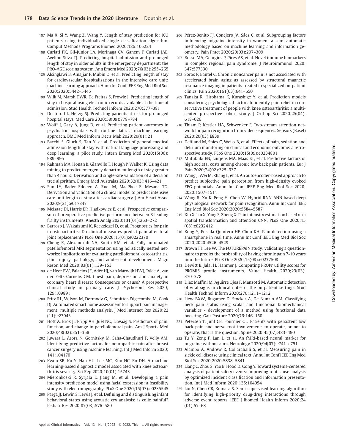- 187 Ma X, Si Y, Wang Z, Wang Y. Length of stay prediction for ICU patients using individualized single classification algorithm. Comput Methods Programs Biomed 2020;186:105224
- 188 Curiati PK, Gil-Junior LA, Morinaga CV, Ganem F, Curiati JAE, Avelino-Silva TJ. Predicting hospital admission and prolonged length of stay in older adults in the emergency department: the PRO-AGE scoring system. Ann Emerg Med 2020;76(03):255–265
- 189 Alsinglawi B, Alnajjar F, Mubin O, et al. Predicting length of stay for cardiovascular hospitalizations in the intensive care unit: machine learning approach. Annu Int Conf IEEE Eng Med Biol Soc 2020;2020:5442–5445
- 190 Wilk M, Marsh DWR, De Freitas S, Prowle J. Predicting length of stay in hospital using electronic records available at the time of admission. Stud Health Technol Inform 2020;270:377–381
- 191 Doctoroff L, Herzig SJ. Predicting patients at risk for prolonged hospital stays. Med Care 2020;58(09):778–784
- 192 Wolff J, Gary A, Jung D, et al. Predicting patient outcomes in psychiatric hospitals with routine data: a machine learning approach. BMC Med Inform Decis Mak 2020;20(01):21
- 193 Bacchi S, Gluck S, Tan Y, et al. Prediction of general medical admission length of stay with natural language processing and deep learning: a pilot study. Intern Emerg Med 2020;15(06): 989–995
- 194 Rahman MA, Honan B, Glanville T, Hough P, Walker K. Using data mining to predict emergency department length of stay greater than 4 hours: Derivation and single-site validation of a decision tree algorithm. Emerg Med Australas 2020;32(03):416–421
- 195 Sun LY, Bader Eddeen A, Ruel M, MacPhee E, Mesana TG. Derivation and validation of a clinical model to predict intensive care unit length of stay after cardiac surgery. J Am Heart Assoc 2020;9(21):e017847
- 196 McIsaac DI, Harris EP, Hladkowicz E, et al. Prospective comparison of preoperative predictive performance between 3 leading frailty instruments. Anesth Analg 2020;131(01):263–272
- 197 Barroso J, Wakaizumi K, Reckziegel D, et al. Prognostics for pain in osteoarthritis: Do clinical measures predict pain after total joint replacement? PLoS One 2020;15(01):e0222370
- 198 Cheng R, Alexandridi NA, Smith RM, et al. Fully automated patellofemoral MRI segmentation using holistically nested networks: Implications for evaluating patellofemoral osteoarthritis, pain, injury, pathology, and adolescent development. Magn Reson Med 2020;83(01):139–153
- 199 de Heer EW, Palacios JE, Adèr HJ, van Marwijk HWJ, Tylee A, van der Feltz-Cornelis CM. Chest pain, depression and anxiety in coronary heart disease: Consequence or cause? A prospective clinical study in primary care. J Psychosom Res 2020; 129:109891
- 200 Fritz RL, Wilson M, Dermody G, Schmitter-Edgecombe M, Cook DJ. Automated smart home assessment to support pain management: multiple methods analysis. J Med Internet Res 2020;22 (11):e23943
- 201 Hott A, Brox JI, Pripp AH, Juel NG, Liavaag S. Predictors of pain, function, and change in patellofemoral pain. Am J Sports Med 2020;48(02):351–358
- 202 Juwara L, Arora N, Gornitsky M, Saha-Chaudhuri P, Velly AM. Identifying predictive factors for neuropathic pain after breast cancer surgery using machine learning. Int J Med Inform 2020; 141:104170
- 203 Kwon SB, Ku Y, Han HU, Lee MC, Kim HC, Ro DH. A machine learning-based diagnostic model associated with knee osteoarthritis severity. Sci Rep 2020;10(01):15743
- 204 Mieronkoski R, Syrjälä E, Jiang M, et al. Developing a pain intensity prediction model using facial expression: a feasibility study with electromyography. PLoS One 2020;15(07):e0235545
- 205 Parga JJ, Lewin S, Lewis J, et al. Defining and distinguishing infant behavioral states using acoustic cry analysis: is colic painful? Pediatr Res 2020;87(03):576–580
- 206 Pérez-Benito FJ, Conejero JA, Sáez C, et al. Subgrouping factors influencing migraine intensity in women: a semi-automatic methodology based on machine learning and information geometry. Pain Pract 2020;20(03):297–309
- 207 Russo MA, Georgius P, Pires AS, et al. Novel immune biomarkers in complex regional pain syndrome. J Neuroimmunol 2020; 347:577330
- 208 Sörös P, Bantel C. Chronic noncancer pain is not associated with accelerated brain aging as assessed by structural magnetic resonance imaging in patients treated in specialized outpatient clinics. Pain 2020;161(03):641–650
- 209 Tanaka R, Hirohama K, Kurashige Y, et al. Prediction models considering psychological factors to identify pain relief in conservative treatment of people with knee osteoarthritis: a multicenter, prospective cohort study. J Orthop Sci 2020;25(04): 618–626
- 210 Thiam P, Kestler HA, Schwenker F. Two-stream attention network for pain recognition from video sequences. Sensors (Basel) 2020;20(03):E839
- 211 Deffland M, Spies C, Weiss B, et al. Effects of pain, sedation and delirium monitoring on clinical and economic outcome: a retrospective study. PLoS One 2020;15(09):e0234801
- 212 Mutubuki EN, Luitjens MA, Maas ET, et al. Predictive factors of high societal costs among chronic low back pain patients. Eur J Pain 2020;24(02):325–337
- 213 Wang J, Wei M, Zhang L, et al. An autoencoder-based approach to predict subjective pain perception from high-density evoked EEG potentials. Annu Int Conf IEEE Eng Med Biol Soc 2020; 2020:1507–1511
- 214 Wang R, Xu K, Feng H, Chen W. Hybrid RNN-ANN based deep physiological network for pain recognition. Annu Int Conf IEEE Eng Med Biol Soc 2020;2020:5584–5587
- 215 Xin X, Lin X, Yang S, Zheng X. Pain intensity estimation based on a spatial transformation and attention CNN. PLoS One 2020;15 (08):e0232412
- 216 Kong Y, Posada-Quintero HF, Chon KH. Pain detection using a smartphone in real time. Annu Int Conf IEEE Eng Med Biol Soc 2020;2020:4526–4529
- 217 Brown TT, Lee W. The FUTUREPAIN study: validating a questionnaire to predict the probability of having chronic pain 7-10 years into the future. PLoS One 2020;15(08):e0237508
- 218 Dewitt B, Jalal H, Hanmer J. Computing PROPr utility scores for PROMIS profile instruments. Value Health 2020;23(03): 370–378
- 219 Diaz Maffini M, Aguirre Ojea F, Manzotti M. Automatic detection of vital signs in clinical notes of the outpatient settings. Stud Health Technol Inform 2020;270:1211–1212
- 220 Liew BXW, Rugamer D, Stocker A, De Nunzio AM. Classifying neck pain status using scalar and functional biomechanical variables - development of a method using functional data boosting. Gait Posture 2020;76:146–150
- 221 Petersen T, Juhl CB, Fournier GL. Patients with persistent low back pain and nerve root involvement: to operate, or not to operate, that is the question. Spine 2020;45(07):483–490
- 222 Tu Y, Zeng F, Lan L, et al. An fMRI-based neural marker for migraine without aura. Neurology 2020;94(07):e741–e751
- 223 Alambo A, Andrew R, Gollarahalli S, et al. Measuring pain in sickle cell disease using clinical text. Annu Int Conf IEEE Eng Med Biol Soc 2020;2020:5838–5841
- 224 Liang C, Zhou S, Yao B, Hood D, Gong Y. Toward systems-centered analysis of patient safety events: Improving root cause analysis by optimized incident classification and information presentation. Int J Med Inform 2020;135:104054
- 225 Liu N, Chen CB, Kumara S. Semi-supervised learning algorithm for identifying high-priority drug-drug interactions through adverse event reports. IEEE J Biomed Health Inform 2020;24 (01):57–68